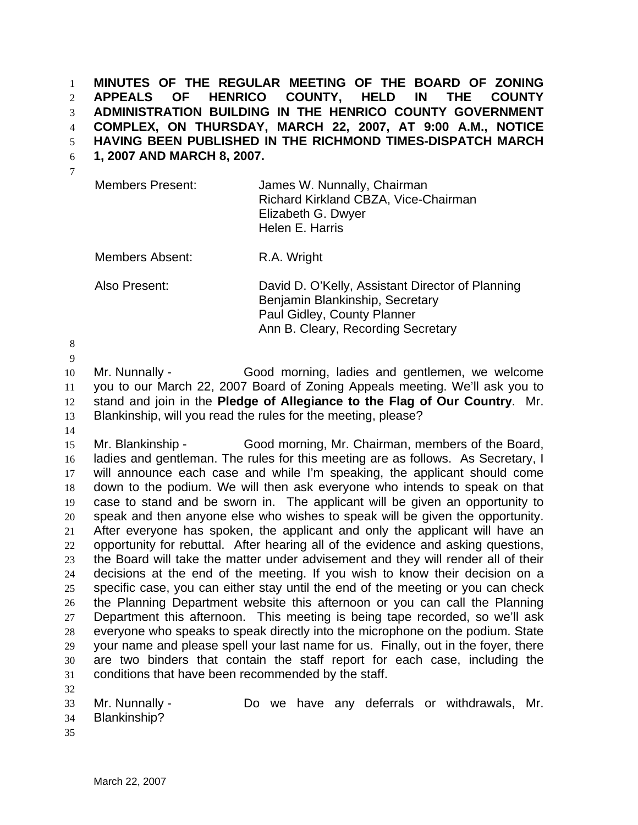**MINUTES OF THE REGULAR MEETING OF THE BOARD OF ZONING APPEALS OF HENRICO COUNTY, HELD IN THE COUNTY ADMINISTRATION BUILDING IN THE HENRICO COUNTY GOVERNMENT COMPLEX, ON THURSDAY, MARCH 22, 2007, AT 9:00 A.M., NOTICE HAVING BEEN PUBLISHED IN THE RICHMOND TIMES-DISPATCH MARCH**  1 2 3 4 5

**1, 2007 AND MARCH 8, 2007.**  6

| Members Present: | James W. Nunnally, Chairman          |
|------------------|--------------------------------------|
|                  | Richard Kirkland CBZA, Vice-Chairman |
|                  | Elizabeth G. Dwyer                   |
|                  | Helen E. Harris                      |

Members Absent: R.A. Wright

Also Present: David D. O'Kelly, Assistant Director of Planning Benjamin Blankinship, Secretary Paul Gidley, County Planner Ann B. Cleary, Recording Secretary

8

9

10 11 12 13 Mr. Nunnally - Good morning, ladies and gentlemen, we welcome you to our March 22, 2007 Board of Zoning Appeals meeting. We'll ask you to stand and join in the **Pledge of Allegiance to the Flag of Our Country**. Mr. Blankinship, will you read the rules for the meeting, please?

14

15 16 17 18 19 20 21 22 23 24 25 26 27 28 29 30 31 Mr. Blankinship - Good morning, Mr. Chairman, members of the Board, ladies and gentleman. The rules for this meeting are as follows. As Secretary, I will announce each case and while I'm speaking, the applicant should come down to the podium. We will then ask everyone who intends to speak on that case to stand and be sworn in. The applicant will be given an opportunity to speak and then anyone else who wishes to speak will be given the opportunity. After everyone has spoken, the applicant and only the applicant will have an opportunity for rebuttal. After hearing all of the evidence and asking questions, the Board will take the matter under advisement and they will render all of their decisions at the end of the meeting. If you wish to know their decision on a specific case, you can either stay until the end of the meeting or you can check the Planning Department website this afternoon or you can call the Planning Department this afternoon. This meeting is being tape recorded, so we'll ask everyone who speaks to speak directly into the microphone on the podium. State your name and please spell your last name for us. Finally, out in the foyer, there are two binders that contain the staff report for each case, including the conditions that have been recommended by the staff.

- 33 34 Mr. Nunnally - Do we have any deferrals or withdrawals, Mr. Blankinship?
- 35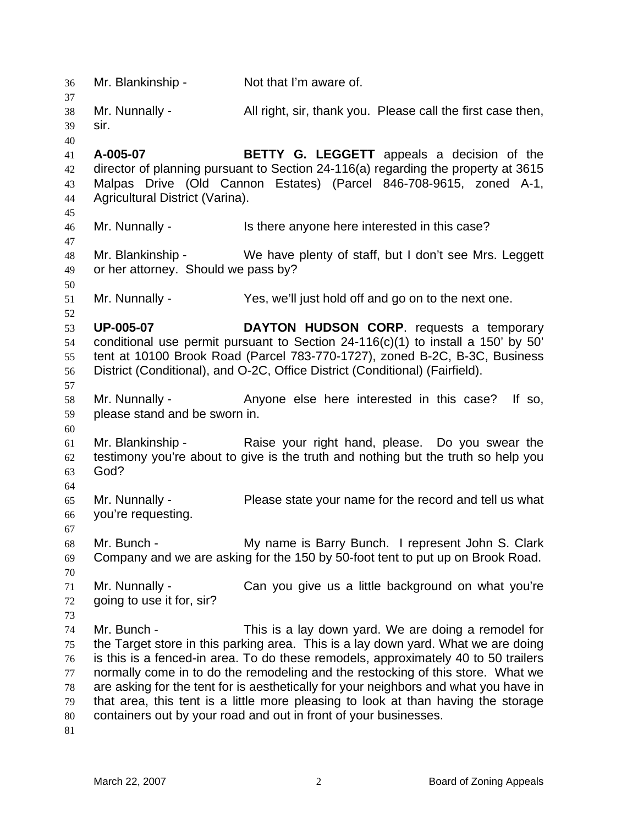36 Mr. Blankinship - Not that I'm aware of. 37 38 39 40 41 42 43 44 45 46 47 48 49 50 51 52 53 54 55 56 57 58 59 60 61 62 63 64 65 66 67 68 69 70 71 72 73 74 75 76 77 78 79 80 81 Mr. Nunnally - All right, sir, thank you. Please call the first case then, sir. **A-005-07 BETTY G. LEGGETT** appeals a decision of the director of planning pursuant to Section 24-116(a) regarding the property at 3615 Malpas Drive (Old Cannon Estates) (Parcel 846-708-9615, zoned A-1, Agricultural District (Varina). Mr. Nunnally - This there anyone here interested in this case? Mr. Blankinship - We have plenty of staff, but I don't see Mrs. Leggett or her attorney. Should we pass by? Mr. Nunnally - Yes, we'll just hold off and go on to the next one. **UP-005-07 DAYTON HUDSON CORP**. requests a temporary conditional use permit pursuant to Section 24-116(c)(1) to install a 150' by 50' tent at 10100 Brook Road (Parcel 783-770-1727), zoned B-2C, B-3C, Business District (Conditional), and O-2C, Office District (Conditional) (Fairfield). Mr. Nunnally - The Anyone else here interested in this case? If so, please stand and be sworn in. Mr. Blankinship - Raise your right hand, please. Do you swear the testimony you're about to give is the truth and nothing but the truth so help you God? Mr. Nunnally - Please state your name for the record and tell us what you're requesting. Mr. Bunch - My name is Barry Bunch. I represent John S. Clark Company and we are asking for the 150 by 50-foot tent to put up on Brook Road. Mr. Nunnally - Can you give us a little background on what you're going to use it for, sir? Mr. Bunch - This is a lay down yard. We are doing a remodel for the Target store in this parking area. This is a lay down yard. What we are doing is this is a fenced-in area. To do these remodels, approximately 40 to 50 trailers normally come in to do the remodeling and the restocking of this store. What we are asking for the tent for is aesthetically for your neighbors and what you have in that area, this tent is a little more pleasing to look at than having the storage containers out by your road and out in front of your businesses.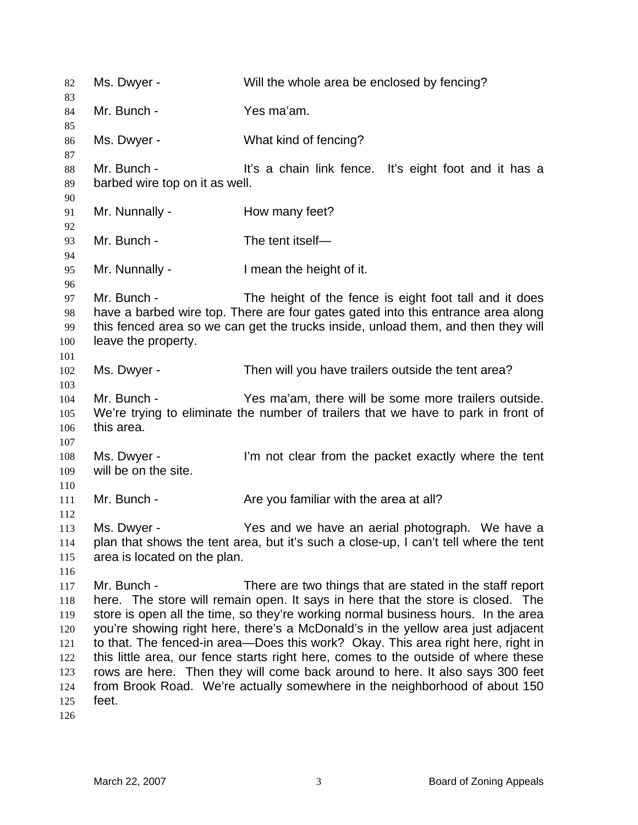| 82                                                                 | Ms. Dwyer -                                   | Will the whole area be enclosed by fencing?                                                                                                                                                                                                                                                                                                                                                                                                                                                                                                                                                                                                                   |
|--------------------------------------------------------------------|-----------------------------------------------|---------------------------------------------------------------------------------------------------------------------------------------------------------------------------------------------------------------------------------------------------------------------------------------------------------------------------------------------------------------------------------------------------------------------------------------------------------------------------------------------------------------------------------------------------------------------------------------------------------------------------------------------------------------|
| 83<br>84                                                           | Mr. Bunch -                                   | Yes ma'am.                                                                                                                                                                                                                                                                                                                                                                                                                                                                                                                                                                                                                                                    |
| 85<br>86<br>87                                                     | Ms. Dwyer -                                   | What kind of fencing?                                                                                                                                                                                                                                                                                                                                                                                                                                                                                                                                                                                                                                         |
| 88<br>89<br>90                                                     | Mr. Bunch -<br>barbed wire top on it as well. | It's a chain link fence. It's eight foot and it has a                                                                                                                                                                                                                                                                                                                                                                                                                                                                                                                                                                                                         |
| 91<br>92                                                           | Mr. Nunnally -                                | How many feet?                                                                                                                                                                                                                                                                                                                                                                                                                                                                                                                                                                                                                                                |
| 93<br>94                                                           | Mr. Bunch -                                   | The tent itself-                                                                                                                                                                                                                                                                                                                                                                                                                                                                                                                                                                                                                                              |
| 95<br>96                                                           | Mr. Nunnally -                                | I mean the height of it.                                                                                                                                                                                                                                                                                                                                                                                                                                                                                                                                                                                                                                      |
| 97<br>98<br>99<br>100<br>101                                       | Mr. Bunch -<br>leave the property.            | The height of the fence is eight foot tall and it does<br>have a barbed wire top. There are four gates gated into this entrance area along<br>this fenced area so we can get the trucks inside, unload them, and then they will                                                                                                                                                                                                                                                                                                                                                                                                                               |
| 102<br>103                                                         | Ms. Dwyer -                                   | Then will you have trailers outside the tent area?                                                                                                                                                                                                                                                                                                                                                                                                                                                                                                                                                                                                            |
| 104<br>105<br>106<br>107                                           | Mr. Bunch -<br>this area.                     | Yes ma'am, there will be some more trailers outside.<br>We're trying to eliminate the number of trailers that we have to park in front of                                                                                                                                                                                                                                                                                                                                                                                                                                                                                                                     |
| 108<br>109<br>110                                                  | Ms. Dwyer -<br>will be on the site.           | I'm not clear from the packet exactly where the tent                                                                                                                                                                                                                                                                                                                                                                                                                                                                                                                                                                                                          |
| 111<br>112                                                         | Mr. Bunch -                                   | Are you familiar with the area at all?                                                                                                                                                                                                                                                                                                                                                                                                                                                                                                                                                                                                                        |
| 113<br>114<br>115<br>116                                           | Ms. Dwyer -<br>area is located on the plan.   | Yes and we have an aerial photograph. We have a<br>plan that shows the tent area, but it's such a close-up, I can't tell where the tent                                                                                                                                                                                                                                                                                                                                                                                                                                                                                                                       |
| 117<br>118<br>119<br>120<br>121<br>122<br>123<br>124<br>125<br>126 | Mr. Bunch -<br>feet.                          | There are two things that are stated in the staff report<br>here. The store will remain open. It says in here that the store is closed. The<br>store is open all the time, so they're working normal business hours. In the area<br>you're showing right here, there's a McDonald's in the yellow area just adjacent<br>to that. The fenced-in area—Does this work? Okay. This area right here, right in<br>this little area, our fence starts right here, comes to the outside of where these<br>rows are here. Then they will come back around to here. It also says 300 feet<br>from Brook Road. We're actually somewhere in the neighborhood of about 150 |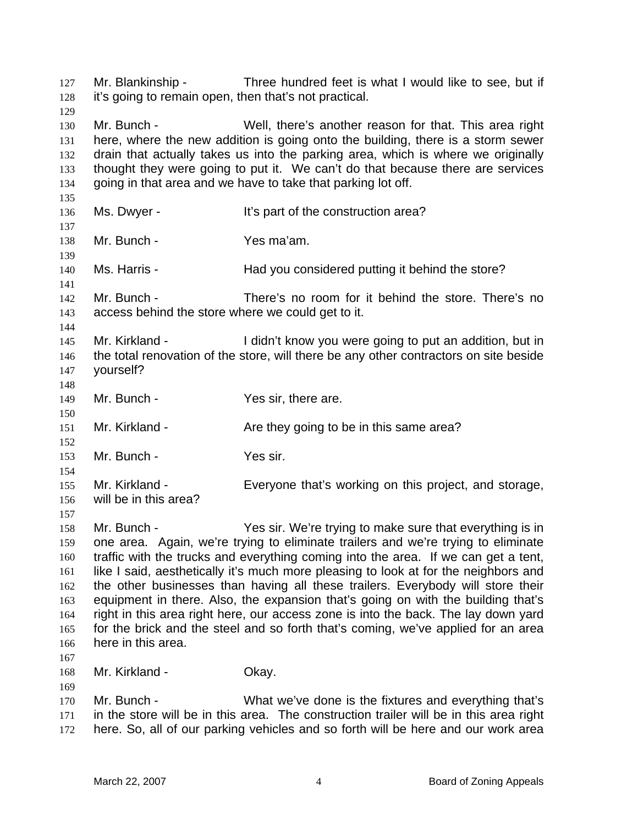| 127<br>128<br>129                                                         | Mr. Blankinship -<br>it's going to remain open, then that's not practical. | Three hundred feet is what I would like to see, but if                                                                                                                                                                                                                                                                                                                                                                                                                                                                                                                                                                                                                       |
|---------------------------------------------------------------------------|----------------------------------------------------------------------------|------------------------------------------------------------------------------------------------------------------------------------------------------------------------------------------------------------------------------------------------------------------------------------------------------------------------------------------------------------------------------------------------------------------------------------------------------------------------------------------------------------------------------------------------------------------------------------------------------------------------------------------------------------------------------|
| 130<br>131<br>132<br>133<br>134<br>135                                    | Mr. Bunch -                                                                | Well, there's another reason for that. This area right<br>here, where the new addition is going onto the building, there is a storm sewer<br>drain that actually takes us into the parking area, which is where we originally<br>thought they were going to put it. We can't do that because there are services<br>going in that area and we have to take that parking lot off.                                                                                                                                                                                                                                                                                              |
| 136<br>137                                                                | Ms. Dwyer -                                                                | It's part of the construction area?                                                                                                                                                                                                                                                                                                                                                                                                                                                                                                                                                                                                                                          |
| 138<br>139                                                                | Mr. Bunch -                                                                | Yes ma'am.                                                                                                                                                                                                                                                                                                                                                                                                                                                                                                                                                                                                                                                                   |
| 140<br>141                                                                | Ms. Harris -                                                               | Had you considered putting it behind the store?                                                                                                                                                                                                                                                                                                                                                                                                                                                                                                                                                                                                                              |
| 142<br>143<br>144                                                         | Mr. Bunch -<br>access behind the store where we could get to it.           | There's no room for it behind the store. There's no                                                                                                                                                                                                                                                                                                                                                                                                                                                                                                                                                                                                                          |
| 145<br>146<br>147<br>148                                                  | Mr. Kirkland -<br>yourself?                                                | I didn't know you were going to put an addition, but in<br>the total renovation of the store, will there be any other contractors on site beside                                                                                                                                                                                                                                                                                                                                                                                                                                                                                                                             |
| 149<br>150                                                                | Mr. Bunch -                                                                | Yes sir, there are.                                                                                                                                                                                                                                                                                                                                                                                                                                                                                                                                                                                                                                                          |
| 151<br>152                                                                | Mr. Kirkland -                                                             | Are they going to be in this same area?                                                                                                                                                                                                                                                                                                                                                                                                                                                                                                                                                                                                                                      |
| 153<br>154                                                                | Mr. Bunch -                                                                | Yes sir.                                                                                                                                                                                                                                                                                                                                                                                                                                                                                                                                                                                                                                                                     |
| 155<br>156                                                                | Mr. Kirkland -<br>will be in this area?                                    | Everyone that's working on this project, and storage,                                                                                                                                                                                                                                                                                                                                                                                                                                                                                                                                                                                                                        |
| 157<br>158<br>159<br>160<br>161<br>162<br>163<br>164<br>165<br>166<br>167 | Mr. Bunch -<br>here in this area.                                          | Yes sir. We're trying to make sure that everything is in<br>one area. Again, we're trying to eliminate trailers and we're trying to eliminate<br>traffic with the trucks and everything coming into the area. If we can get a tent,<br>like I said, aesthetically it's much more pleasing to look at for the neighbors and<br>the other businesses than having all these trailers. Everybody will store their<br>equipment in there. Also, the expansion that's going on with the building that's<br>right in this area right here, our access zone is into the back. The lay down yard<br>for the brick and the steel and so forth that's coming, we've applied for an area |
| 168<br>169                                                                | Mr. Kirkland -                                                             | Okay.                                                                                                                                                                                                                                                                                                                                                                                                                                                                                                                                                                                                                                                                        |
| 170<br>171<br>172                                                         | Mr. Bunch -                                                                | What we've done is the fixtures and everything that's<br>in the store will be in this area. The construction trailer will be in this area right<br>here. So, all of our parking vehicles and so forth will be here and our work area                                                                                                                                                                                                                                                                                                                                                                                                                                         |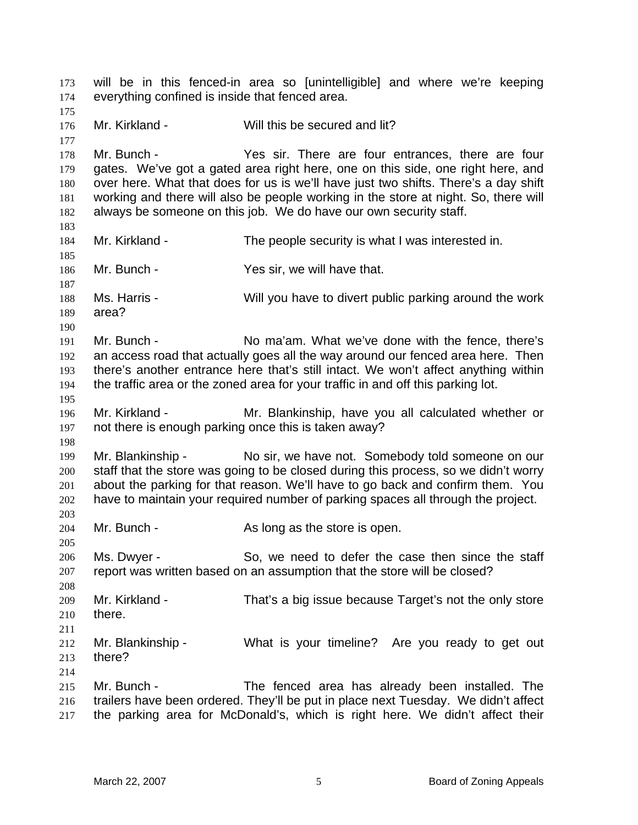will be in this fenced-in area so [unintelligible] and where we're keeping everything confined is inside that fenced area. 173 174 175 176 177 178 179 180 181 182 183 184 185 186 187 188 189 190 191 192 193 194 195 196 197 198 199 200 201 202 203 204 205 206 207 208 209 210 211 212 213 214 215 216 217 Mr. Kirkland - Will this be secured and lit? Mr. Bunch - There are four entrances, there are four gates. We've got a gated area right here, one on this side, one right here, and over here. What that does for us is we'll have just two shifts. There's a day shift working and there will also be people working in the store at night. So, there will always be someone on this job. We do have our own security staff. Mr. Kirkland - The people security is what I was interested in. Mr. Bunch - Yes sir, we will have that. Ms. Harris - Will you have to divert public parking around the work area? Mr. Bunch - No ma'am. What we've done with the fence, there's an access road that actually goes all the way around our fenced area here. Then there's another entrance here that's still intact. We won't affect anything within the traffic area or the zoned area for your traffic in and off this parking lot. Mr. Kirkland - Mr. Blankinship, have you all calculated whether or not there is enough parking once this is taken away? Mr. Blankinship - No sir, we have not. Somebody told someone on our staff that the store was going to be closed during this process, so we didn't worry about the parking for that reason. We'll have to go back and confirm them. You have to maintain your required number of parking spaces all through the project. Mr. Bunch - As long as the store is open. Ms. Dwyer - So, we need to defer the case then since the staff report was written based on an assumption that the store will be closed? Mr. Kirkland - That's a big issue because Target's not the only store there. Mr. Blankinship - What is your timeline? Are you ready to get out there? Mr. Bunch - The fenced area has already been installed. The trailers have been ordered. They'll be put in place next Tuesday. We didn't affect the parking area for McDonald's, which is right here. We didn't affect their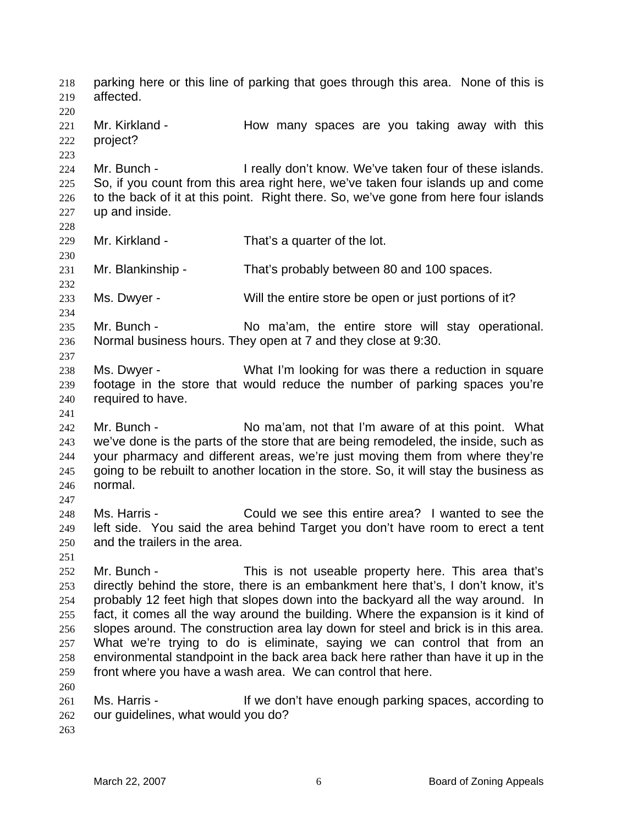parking here or this line of parking that goes through this area. None of this is affected. 218 219 220 221 222 223 224 225 226 227 228 229 230 231 232 233 234 235 236 237 238 239 240 241 242 243 244 245 246 247 248 249 250 251 252 253 254 255 256 257 258 259 260 261 262 263 Mr. Kirkland - The How many spaces are you taking away with this project? Mr. Bunch - The ally don't know. We've taken four of these islands. So, if you count from this area right here, we've taken four islands up and come to the back of it at this point. Right there. So, we've gone from here four islands up and inside. Mr. Kirkland - That's a quarter of the lot. Mr. Blankinship - That's probably between 80 and 100 spaces. Ms. Dwyer - Will the entire store be open or just portions of it? Mr. Bunch - No ma'am, the entire store will stay operational. Normal business hours. They open at 7 and they close at 9:30. Ms. Dwyer - What I'm looking for was there a reduction in square footage in the store that would reduce the number of parking spaces you're required to have. Mr. Bunch - No ma'am, not that I'm aware of at this point. What we've done is the parts of the store that are being remodeled, the inside, such as your pharmacy and different areas, we're just moving them from where they're going to be rebuilt to another location in the store. So, it will stay the business as normal. Ms. Harris - Could we see this entire area? I wanted to see the left side. You said the area behind Target you don't have room to erect a tent and the trailers in the area. Mr. Bunch - This is not useable property here. This area that's directly behind the store, there is an embankment here that's, I don't know, it's probably 12 feet high that slopes down into the backyard all the way around. In fact, it comes all the way around the building. Where the expansion is it kind of slopes around. The construction area lay down for steel and brick is in this area. What we're trying to do is eliminate, saying we can control that from an environmental standpoint in the back area back here rather than have it up in the front where you have a wash area. We can control that here. Ms. Harris - The Music of the don't have enough parking spaces, according to our guidelines, what would you do?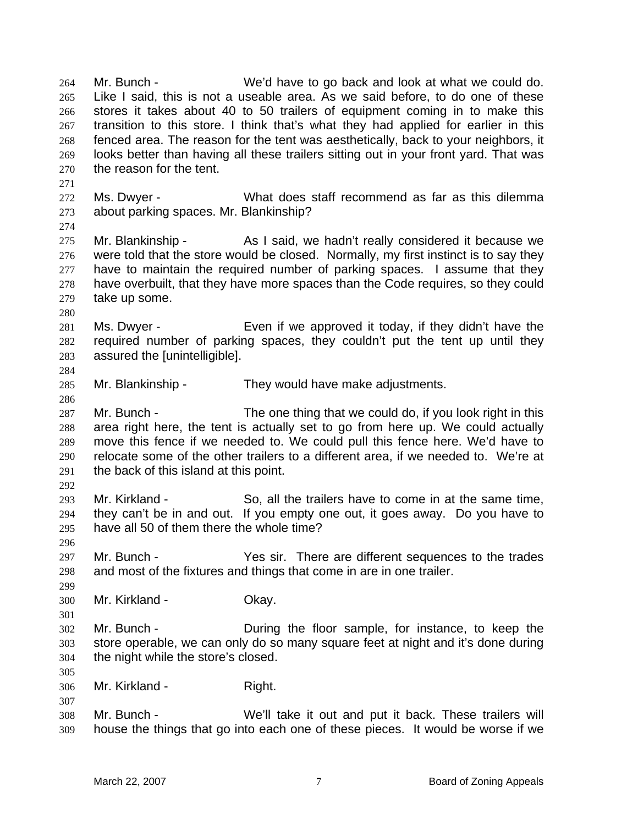Mr. Bunch - We'd have to go back and look at what we could do. Like I said, this is not a useable area. As we said before, to do one of these stores it takes about 40 to 50 trailers of equipment coming in to make this transition to this store. I think that's what they had applied for earlier in this fenced area. The reason for the tent was aesthetically, back to your neighbors, it looks better than having all these trailers sitting out in your front yard. That was the reason for the tent. 264 265 266 267 268 269 270 271 272 273 274 275 276 277 278 279 280 281 282 283 284 285 286 287 288 289 290 291 292 293 294 295 296 297 298 299 300 301 302 303 304 305 306 307 308 309 Ms. Dwyer - What does staff recommend as far as this dilemma about parking spaces. Mr. Blankinship? Mr. Blankinship - As I said, we hadn't really considered it because we were told that the store would be closed. Normally, my first instinct is to say they have to maintain the required number of parking spaces. I assume that they have overbuilt, that they have more spaces than the Code requires, so they could take up some. Ms. Dwyer - Even if we approved it today, if they didn't have the required number of parking spaces, they couldn't put the tent up until they assured the [unintelligible]. Mr. Blankinship - They would have make adjustments. Mr. Bunch - The one thing that we could do, if you look right in this area right here, the tent is actually set to go from here up. We could actually move this fence if we needed to. We could pull this fence here. We'd have to relocate some of the other trailers to a different area, if we needed to. We're at the back of this island at this point. Mr. Kirkland - So, all the trailers have to come in at the same time, they can't be in and out. If you empty one out, it goes away. Do you have to have all 50 of them there the whole time? Mr. Bunch - Yes sir. There are different sequences to the trades and most of the fixtures and things that come in are in one trailer. Mr. Kirkland - **Okay.** Mr. Bunch - During the floor sample, for instance, to keep the store operable, we can only do so many square feet at night and it's done during the night while the store's closed. Mr. Kirkland - Right. Mr. Bunch - We'll take it out and put it back. These trailers will house the things that go into each one of these pieces. It would be worse if we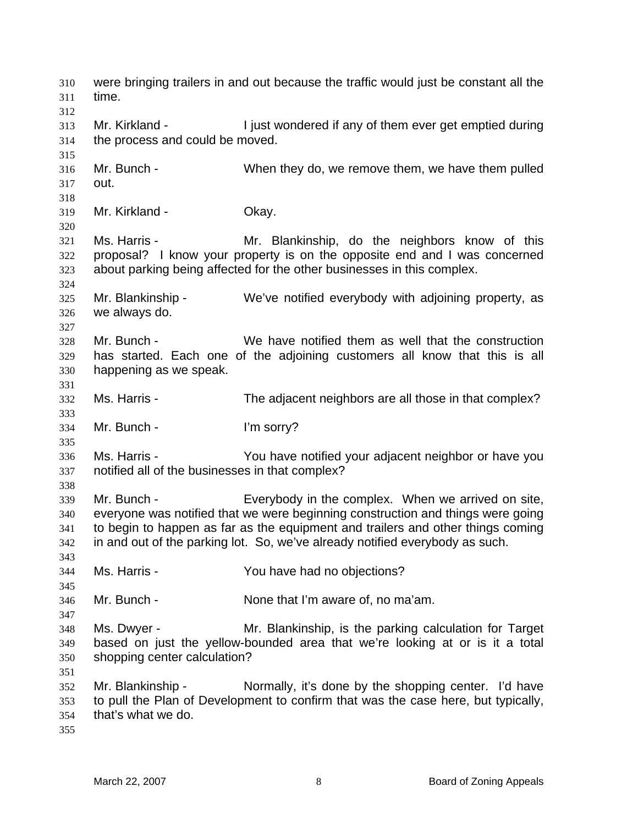were bringing trailers in and out because the traffic would just be constant all the time. 310 311 312 313 314 315 316 317 318 319 320 321 322 323 324 325 326 327 328 329 330 331 332 333 334 335 336 337 338 339 340 341 342 343 344 345 346 347 348 349 350 351 352 353 354 355 Mr. Kirkland - I just wondered if any of them ever get emptied during the process and could be moved. Mr. Bunch - When they do, we remove them, we have them pulled out. Mr. Kirkland - **Okay.** Ms. Harris - The Mr. Blankinship, do the neighbors know of this proposal? I know your property is on the opposite end and I was concerned about parking being affected for the other businesses in this complex. Mr. Blankinship - We've notified everybody with adjoining property, as we always do. Mr. Bunch - We have notified them as well that the construction has started. Each one of the adjoining customers all know that this is all happening as we speak. Ms. Harris - The adjacent neighbors are all those in that complex? Mr. Bunch - I'm sorry? Ms. Harris - You have notified your adjacent neighbor or have you notified all of the businesses in that complex? Mr. Bunch - Everybody in the complex. When we arrived on site, everyone was notified that we were beginning construction and things were going to begin to happen as far as the equipment and trailers and other things coming in and out of the parking lot. So, we've already notified everybody as such. Ms. Harris - The You have had no objections? Mr. Bunch - None that I'm aware of, no ma'am. Ms. Dwyer - Mr. Blankinship, is the parking calculation for Target based on just the yellow-bounded area that we're looking at or is it a total shopping center calculation? Mr. Blankinship - Normally, it's done by the shopping center. I'd have to pull the Plan of Development to confirm that was the case here, but typically, that's what we do.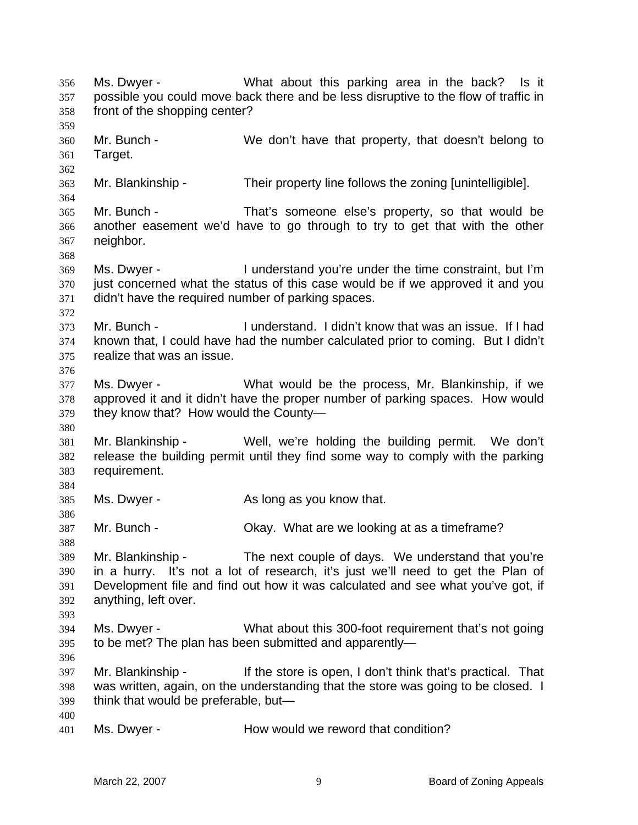Ms. Dwyer - What about this parking area in the back? Is it possible you could move back there and be less disruptive to the flow of traffic in front of the shopping center? 356 357 358 359 360 361 362 363 364 365 366 367 368 369 370 371 372 373 374 375 376 377 378 379 380 381 382 383 384 385 386 387 388 389 390 391 392 393 394 395 396 397 398 399 400 401 Mr. Bunch - We don't have that property, that doesn't belong to Target. Mr. Blankinship - Their property line follows the zoning [unintelligible]. Mr. Bunch - That's someone else's property, so that would be another easement we'd have to go through to try to get that with the other neighbor. Ms. Dwyer - The Understand you're under the time constraint, but I'm just concerned what the status of this case would be if we approved it and you didn't have the required number of parking spaces. Mr. Bunch - I understand. I didn't know that was an issue. If I had known that, I could have had the number calculated prior to coming. But I didn't realize that was an issue. Ms. Dwyer - What would be the process, Mr. Blankinship, if we approved it and it didn't have the proper number of parking spaces. How would they know that? How would the County— Mr. Blankinship - Well, we're holding the building permit. We don't release the building permit until they find some way to comply with the parking requirement. Ms. Dwyer - The As long as you know that. Mr. Bunch - Okay. What are we looking at as a timeframe? Mr. Blankinship - The next couple of days. We understand that you're in a hurry. It's not a lot of research, it's just we'll need to get the Plan of Development file and find out how it was calculated and see what you've got, if anything, left over. Ms. Dwyer - What about this 300-foot requirement that's not going to be met? The plan has been submitted and apparently— Mr. Blankinship - If the store is open, I don't think that's practical. That was written, again, on the understanding that the store was going to be closed. I think that would be preferable, but— Ms. Dwyer - **How would we reword that condition?**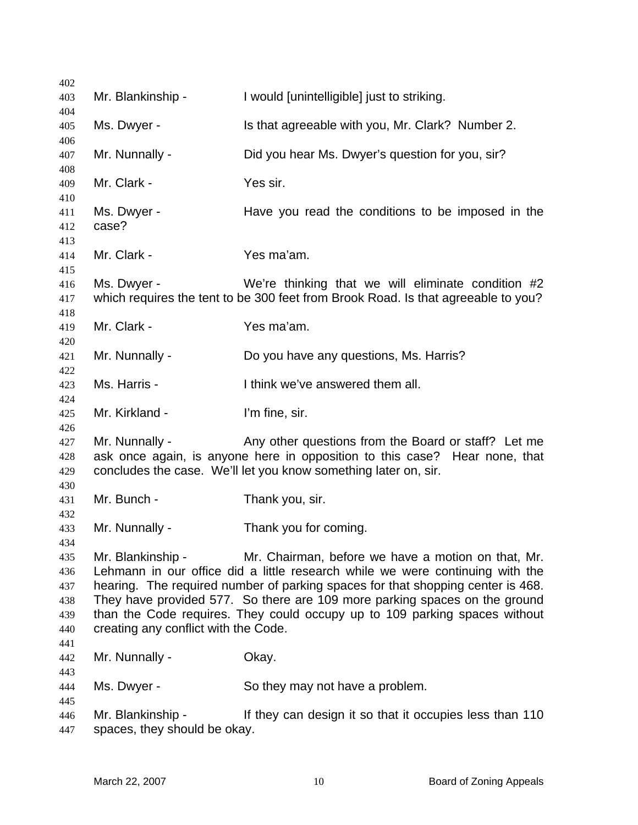| 402                                           |                                                           |                                                                                                                                                                                                                                                                                                                                                                                    |
|-----------------------------------------------|-----------------------------------------------------------|------------------------------------------------------------------------------------------------------------------------------------------------------------------------------------------------------------------------------------------------------------------------------------------------------------------------------------------------------------------------------------|
| 403                                           | Mr. Blankinship -                                         | I would [unintelligible] just to striking.                                                                                                                                                                                                                                                                                                                                         |
| 404<br>405<br>406                             | Ms. Dwyer -                                               | Is that agreeable with you, Mr. Clark? Number 2.                                                                                                                                                                                                                                                                                                                                   |
| 407<br>408                                    | Mr. Nunnally -                                            | Did you hear Ms. Dwyer's question for you, sir?                                                                                                                                                                                                                                                                                                                                    |
| 409<br>410                                    | Mr. Clark -                                               | Yes sir.                                                                                                                                                                                                                                                                                                                                                                           |
| 411<br>412<br>413                             | Ms. Dwyer -<br>case?                                      | Have you read the conditions to be imposed in the                                                                                                                                                                                                                                                                                                                                  |
| 414<br>415                                    | Mr. Clark -                                               | Yes ma'am.                                                                                                                                                                                                                                                                                                                                                                         |
| 416<br>417<br>418                             | Ms. Dwyer -                                               | We're thinking that we will eliminate condition #2<br>which requires the tent to be 300 feet from Brook Road. Is that agreeable to you?                                                                                                                                                                                                                                            |
| 419<br>420                                    | Mr. Clark -                                               | Yes ma'am.                                                                                                                                                                                                                                                                                                                                                                         |
| 421                                           | Mr. Nunnally -                                            | Do you have any questions, Ms. Harris?                                                                                                                                                                                                                                                                                                                                             |
| 422<br>423                                    | Ms. Harris -                                              | I think we've answered them all.                                                                                                                                                                                                                                                                                                                                                   |
| 424<br>425                                    | Mr. Kirkland -                                            | I'm fine, sir.                                                                                                                                                                                                                                                                                                                                                                     |
| 426<br>427<br>428<br>429                      | Mr. Nunnally -                                            | Any other questions from the Board or staff? Let me<br>ask once again, is anyone here in opposition to this case? Hear none, that<br>concludes the case. We'll let you know something later on, sir.                                                                                                                                                                               |
| 430<br>431                                    | Mr. Bunch -                                               | Thank you, sir.                                                                                                                                                                                                                                                                                                                                                                    |
| 432<br>433                                    | Mr. Nunnally -                                            | Thank you for coming.                                                                                                                                                                                                                                                                                                                                                              |
| 434<br>435<br>436<br>437<br>438<br>439<br>440 | Mr. Blankinship -<br>creating any conflict with the Code. | Mr. Chairman, before we have a motion on that, Mr.<br>Lehmann in our office did a little research while we were continuing with the<br>hearing. The required number of parking spaces for that shopping center is 468.<br>They have provided 577. So there are 109 more parking spaces on the ground<br>than the Code requires. They could occupy up to 109 parking spaces without |
| 441<br>442                                    | Mr. Nunnally -                                            | Okay.                                                                                                                                                                                                                                                                                                                                                                              |
| 443<br>444                                    | Ms. Dwyer -                                               | So they may not have a problem.                                                                                                                                                                                                                                                                                                                                                    |
| 445<br>446<br>447                             | Mr. Blankinship -<br>spaces, they should be okay.         | If they can design it so that it occupies less than 110                                                                                                                                                                                                                                                                                                                            |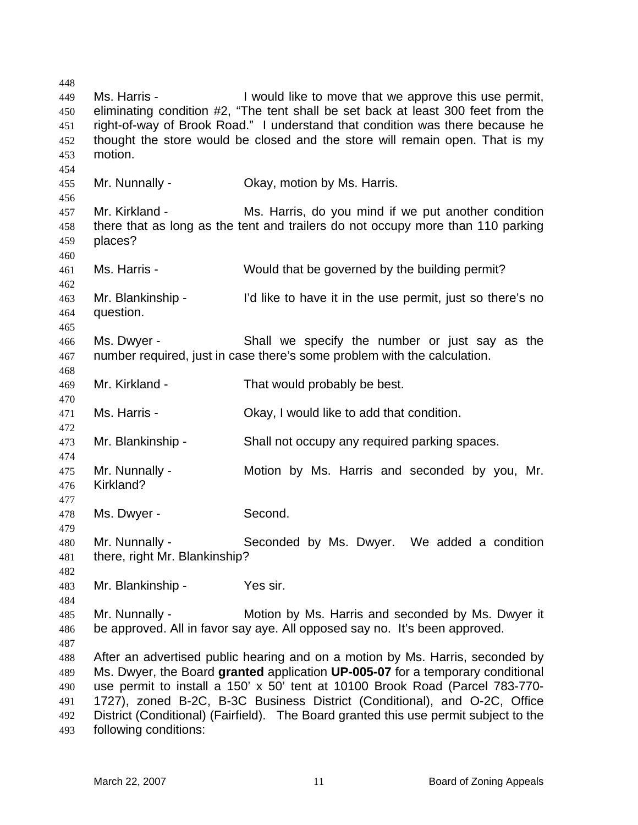448 449 450 451 452 453 454 455 456 457 458 459 460 461 462 463 464 465 466 467 468 469 470 471 472 473 474 475 476 477 478 479 480 481 482 483 484 485 486 487 488 489 490 491 492 493 Ms. Harris - The Unit of I would like to move that we approve this use permit, eliminating condition #2, "The tent shall be set back at least 300 feet from the right-of-way of Brook Road." I understand that condition was there because he thought the store would be closed and the store will remain open. That is my motion. Mr. Nunnally - Ckay, motion by Ms. Harris. Mr. Kirkland - Ms. Harris, do you mind if we put another condition there that as long as the tent and trailers do not occupy more than 110 parking places? Ms. Harris - Would that be governed by the building permit? Mr. Blankinship - I'd like to have it in the use permit, just so there's no question. Ms. Dwyer - Shall we specify the number or just say as the number required, just in case there's some problem with the calculation. Mr. Kirkland - That would probably be best. Ms. Harris - Ckay, I would like to add that condition. Mr. Blankinship - Shall not occupy any required parking spaces. Mr. Nunnally - Motion by Ms. Harris and seconded by you, Mr. Kirkland? Ms. Dwyer - Second. Mr. Nunnally - Seconded by Ms. Dwyer. We added a condition there, right Mr. Blankinship? Mr. Blankinship - Yes sir. Mr. Nunnally - Motion by Ms. Harris and seconded by Ms. Dwyer it be approved. All in favor say aye. All opposed say no. It's been approved. After an advertised public hearing and on a motion by Ms. Harris, seconded by Ms. Dwyer, the Board **granted** application **UP-005-07** for a temporary conditional use permit to install a 150' x 50' tent at 10100 Brook Road (Parcel 783-770- 1727), zoned B-2C, B-3C Business District (Conditional), and O-2C, Office District (Conditional) (Fairfield). The Board granted this use permit subject to the following conditions: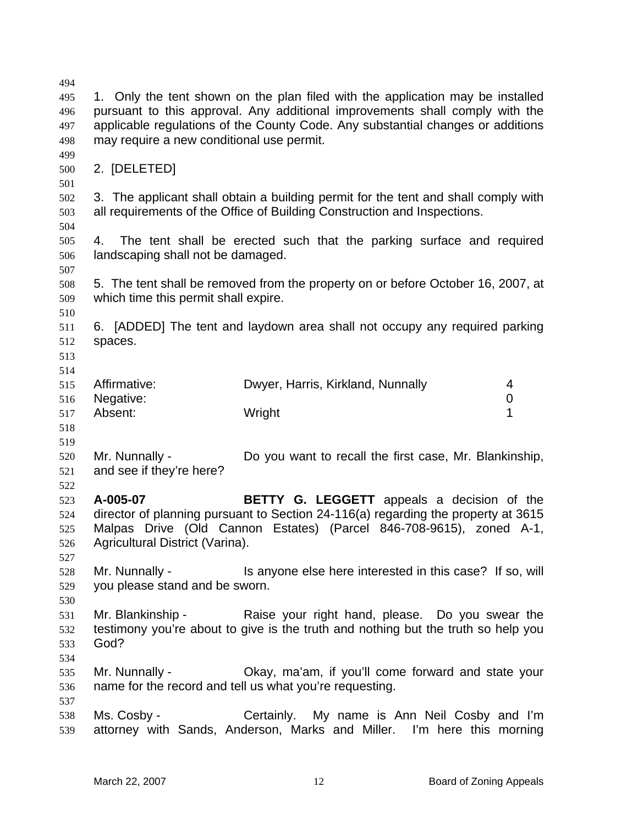494 495 496 497 498 499 500 501 502 503 504 505 506 507 508 509 510 511 512 513 514 515 516 517 518 519 520 521 522 523 524 525 526 527 528 529 530 531 532 533 534 535 536 537 538 539 1. Only the tent shown on the plan filed with the application may be installed pursuant to this approval. Any additional improvements shall comply with the applicable regulations of the County Code. Any substantial changes or additions may require a new conditional use permit. 2. [DELETED] 3. The applicant shall obtain a building permit for the tent and shall comply with all requirements of the Office of Building Construction and Inspections. 4. The tent shall be erected such that the parking surface and required landscaping shall not be damaged. 5. The tent shall be removed from the property on or before October 16, 2007, at which time this permit shall expire. 6. [ADDED] The tent and laydown area shall not occupy any required parking spaces. Affirmative: **Dwyer, Harris, Kirkland, Nunnally** 4 Negative: 0 Absent: Wright 1 Mr. Nunnally - Do you want to recall the first case, Mr. Blankinship, and see if they're here? **A-005-07 BETTY G. LEGGETT** appeals a decision of the director of planning pursuant to Section 24-116(a) regarding the property at 3615 Malpas Drive (Old Cannon Estates) (Parcel 846-708-9615), zoned A-1, Agricultural District (Varina). Mr. Nunnally - Is anyone else here interested in this case? If so, will you please stand and be sworn. Mr. Blankinship - Raise your right hand, please. Do you swear the testimony you're about to give is the truth and nothing but the truth so help you God? Mr. Nunnally - Okay, ma'am, if you'll come forward and state your name for the record and tell us what you're requesting. Ms. Cosby - Certainly. My name is Ann Neil Cosby and I'm attorney with Sands, Anderson, Marks and Miller. I'm here this morning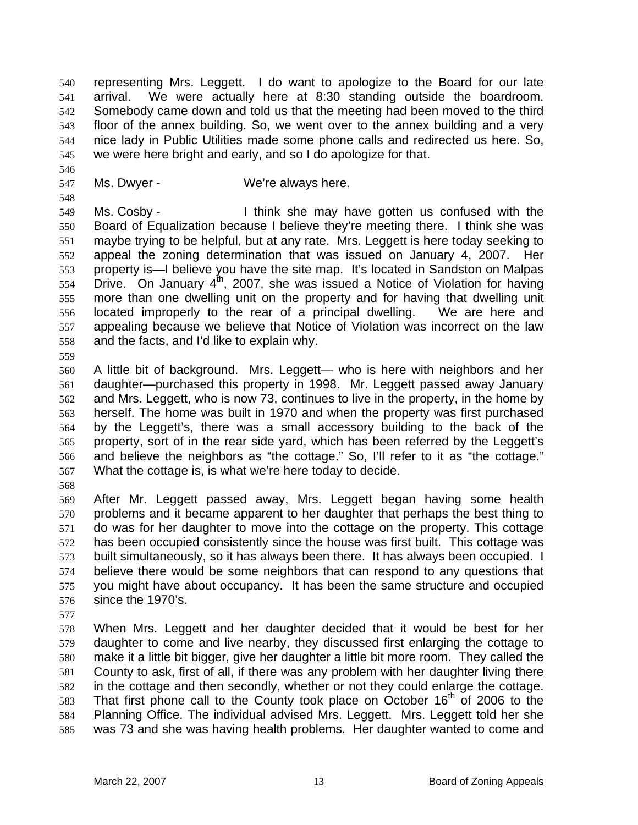representing Mrs. Leggett. I do want to apologize to the Board for our late arrival. We were actually here at 8:30 standing outside the boardroom. Somebody came down and told us that the meeting had been moved to the third floor of the annex building. So, we went over to the annex building and a very nice lady in Public Utilities made some phone calls and redirected us here. So, we were here bright and early, and so I do apologize for that. 540 541 542 543 544 545

547 Ms. Dwyer - We're always here.

549 550 551 552 553 554 555 556 557 558 Ms. Cosby - I think she may have gotten us confused with the Board of Equalization because I believe they're meeting there. I think she was maybe trying to be helpful, but at any rate. Mrs. Leggett is here today seeking to appeal the zoning determination that was issued on January 4, 2007. Her property is—I believe you have the site map. It's located in Sandston on Malpas Drive. On January  $4^{th}$ , 2007, she was issued a Notice of Violation for having more than one dwelling unit on the property and for having that dwelling unit located improperly to the rear of a principal dwelling. We are here and appealing because we believe that Notice of Violation was incorrect on the law and the facts, and I'd like to explain why.

559

546

548

560 561 562 563 564 565 566 567 A little bit of background. Mrs. Leggett— who is here with neighbors and her daughter—purchased this property in 1998. Mr. Leggett passed away January and Mrs. Leggett, who is now 73, continues to live in the property, in the home by herself. The home was built in 1970 and when the property was first purchased by the Leggett's, there was a small accessory building to the back of the property, sort of in the rear side yard, which has been referred by the Leggett's and believe the neighbors as "the cottage." So, I'll refer to it as "the cottage." What the cottage is, is what we're here today to decide.

568

569 570 571 572 573 574 575 576 After Mr. Leggett passed away, Mrs. Leggett began having some health problems and it became apparent to her daughter that perhaps the best thing to do was for her daughter to move into the cottage on the property. This cottage has been occupied consistently since the house was first built. This cottage was built simultaneously, so it has always been there. It has always been occupied. I believe there would be some neighbors that can respond to any questions that you might have about occupancy. It has been the same structure and occupied since the 1970's.

577

578 579 580 581 582 583 584 585 When Mrs. Leggett and her daughter decided that it would be best for her daughter to come and live nearby, they discussed first enlarging the cottage to make it a little bit bigger, give her daughter a little bit more room. They called the County to ask, first of all, if there was any problem with her daughter living there in the cottage and then secondly, whether or not they could enlarge the cottage. That first phone call to the County took place on October  $16<sup>th</sup>$  of 2006 to the Planning Office. The individual advised Mrs. Leggett. Mrs. Leggett told her she was 73 and she was having health problems. Her daughter wanted to come and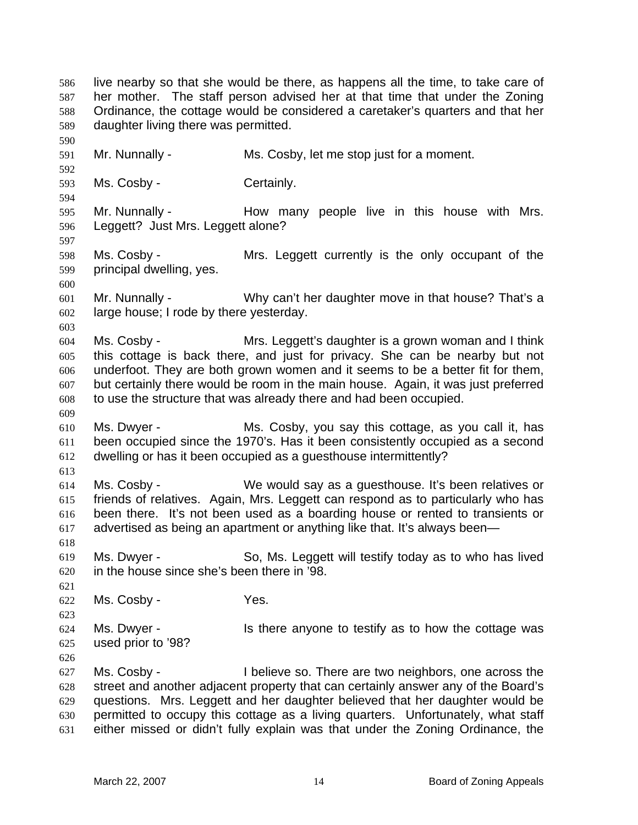live nearby so that she would be there, as happens all the time, to take care of her mother. The staff person advised her at that time that under the Zoning Ordinance, the cottage would be considered a caretaker's quarters and that her daughter living there was permitted. 586 587 588 589 590 591 592 593 594 595 596 597 598 599 600 601 602 603 604 605 606 607 608 609 610 611 612 613 614 615 616 617 618 619 620 621 622 623 624 625 626 627 628 629 630 631 Mr. Nunnally - Ms. Cosby, let me stop just for a moment. Ms. Cosby - Certainly. Mr. Nunnally - The How many people live in this house with Mrs. Leggett? Just Mrs. Leggett alone? Ms. Cosby - Mrs. Leggett currently is the only occupant of the principal dwelling, yes. Mr. Nunnally - Why can't her daughter move in that house? That's a large house; I rode by there yesterday. Ms. Cosby - Mrs. Leggett's daughter is a grown woman and I think this cottage is back there, and just for privacy. She can be nearby but not underfoot. They are both grown women and it seems to be a better fit for them, but certainly there would be room in the main house. Again, it was just preferred to use the structure that was already there and had been occupied. Ms. Dwyer - Ms. Cosby, you say this cottage, as you call it, has been occupied since the 1970's. Has it been consistently occupied as a second dwelling or has it been occupied as a guesthouse intermittently? Ms. Cosby - We would say as a guesthouse. It's been relatives or friends of relatives. Again, Mrs. Leggett can respond as to particularly who has been there. It's not been used as a boarding house or rented to transients or advertised as being an apartment or anything like that. It's always been— Ms. Dwyer - So, Ms. Leggett will testify today as to who has lived in the house since she's been there in '98. Ms. Cosby - The Yes. Ms. Dwyer - The Is there anyone to testify as to how the cottage was used prior to '98? Ms. Cosby - I believe so. There are two neighbors, one across the street and another adjacent property that can certainly answer any of the Board's questions. Mrs. Leggett and her daughter believed that her daughter would be permitted to occupy this cottage as a living quarters. Unfortunately, what staff either missed or didn't fully explain was that under the Zoning Ordinance, the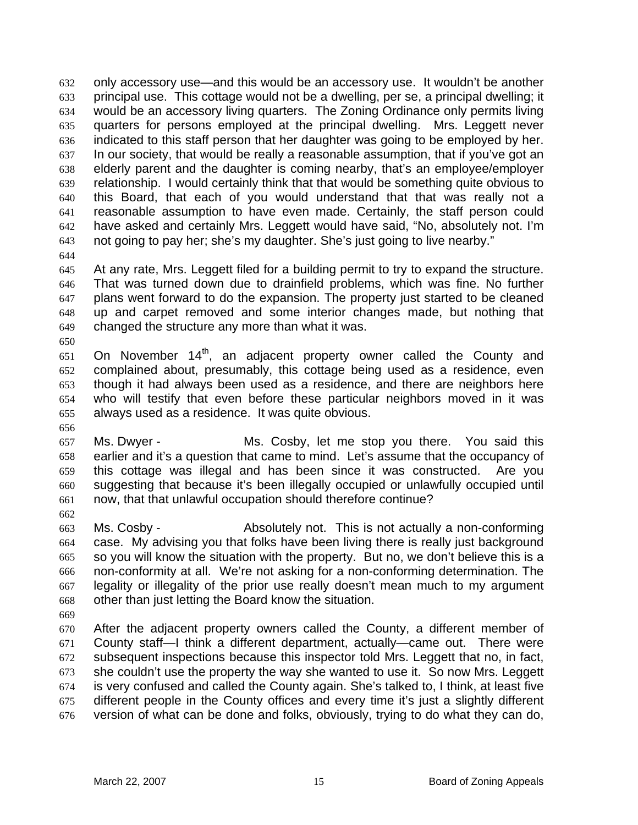only accessory use—and this would be an accessory use. It wouldn't be another principal use. This cottage would not be a dwelling, per se, a principal dwelling; it would be an accessory living quarters. The Zoning Ordinance only permits living quarters for persons employed at the principal dwelling. Mrs. Leggett never indicated to this staff person that her daughter was going to be employed by her. In our society, that would be really a reasonable assumption, that if you've got an elderly parent and the daughter is coming nearby, that's an employee/employer relationship. I would certainly think that that would be something quite obvious to this Board, that each of you would understand that that was really not a reasonable assumption to have even made. Certainly, the staff person could have asked and certainly Mrs. Leggett would have said, "No, absolutely not. I'm not going to pay her; she's my daughter. She's just going to live nearby." 632 633 634 635 636 637 638 639 640 641 642 643

644

650

656

662

645 646 647 648 649 At any rate, Mrs. Leggett filed for a building permit to try to expand the structure. That was turned down due to drainfield problems, which was fine. No further plans went forward to do the expansion. The property just started to be cleaned up and carpet removed and some interior changes made, but nothing that changed the structure any more than what it was.

- 651 652 653 654 655 On November 14<sup>th</sup>, an adjacent property owner called the County and complained about, presumably, this cottage being used as a residence, even though it had always been used as a residence, and there are neighbors here who will testify that even before these particular neighbors moved in it was always used as a residence. It was quite obvious.
- 657 658 659 660 661 Ms. Dwyer - The Ms. Cosby, let me stop you there. You said this earlier and it's a question that came to mind. Let's assume that the occupancy of this cottage was illegal and has been since it was constructed. Are you suggesting that because it's been illegally occupied or unlawfully occupied until now, that that unlawful occupation should therefore continue?
- 663 664 665 666 667 668 Ms. Cosby - **Absolutely not.** This is not actually a non-conforming case. My advising you that folks have been living there is really just background so you will know the situation with the property. But no, we don't believe this is a non-conformity at all. We're not asking for a non-conforming determination. The legality or illegality of the prior use really doesn't mean much to my argument other than just letting the Board know the situation.
- 669
- 670 671 672 673 674 675 676 After the adjacent property owners called the County, a different member of County staff—I think a different department, actually—came out. There were subsequent inspections because this inspector told Mrs. Leggett that no, in fact, she couldn't use the property the way she wanted to use it. So now Mrs. Leggett is very confused and called the County again. She's talked to, I think, at least five different people in the County offices and every time it's just a slightly different version of what can be done and folks, obviously, trying to do what they can do,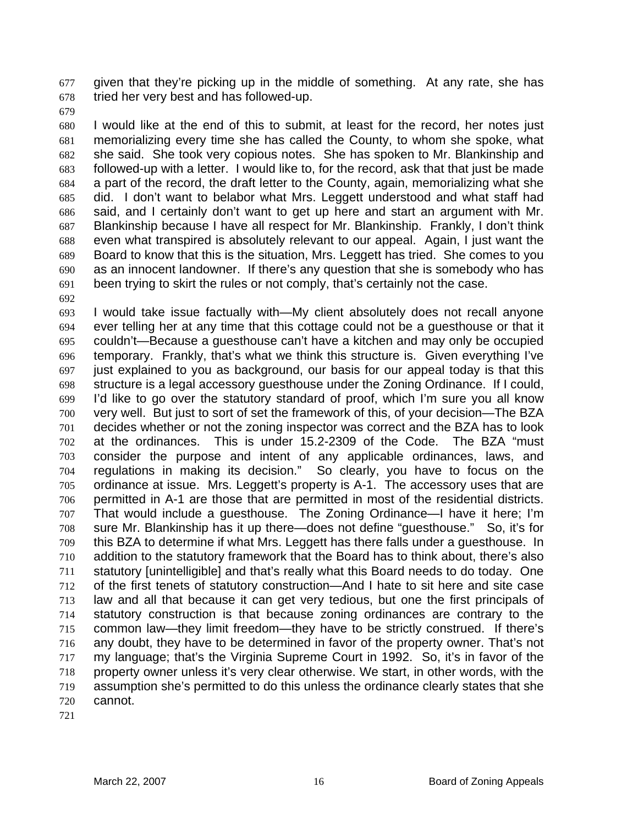given that they're picking up in the middle of something. At any rate, she has tried her very best and has followed-up. 677 678

679

680 681 682 683 684 685 686 687 688 689 690 691 I would like at the end of this to submit, at least for the record, her notes just memorializing every time she has called the County, to whom she spoke, what she said. She took very copious notes. She has spoken to Mr. Blankinship and followed-up with a letter. I would like to, for the record, ask that that just be made a part of the record, the draft letter to the County, again, memorializing what she did. I don't want to belabor what Mrs. Leggett understood and what staff had said, and I certainly don't want to get up here and start an argument with Mr. Blankinship because I have all respect for Mr. Blankinship. Frankly, I don't think even what transpired is absolutely relevant to our appeal. Again, I just want the Board to know that this is the situation, Mrs. Leggett has tried. She comes to you as an innocent landowner. If there's any question that she is somebody who has been trying to skirt the rules or not comply, that's certainly not the case.

692

693 694 695 696 697 698 699 700 701 702 703 704 705 706 707 708 709 710 711 712 713 714 715 716 717 718 719 720 I would take issue factually with—My client absolutely does not recall anyone ever telling her at any time that this cottage could not be a guesthouse or that it couldn't—Because a guesthouse can't have a kitchen and may only be occupied temporary. Frankly, that's what we think this structure is. Given everything I've just explained to you as background, our basis for our appeal today is that this structure is a legal accessory guesthouse under the Zoning Ordinance. If I could, I'd like to go over the statutory standard of proof, which I'm sure you all know very well. But just to sort of set the framework of this, of your decision—The BZA decides whether or not the zoning inspector was correct and the BZA has to look at the ordinances. This is under 15.2-2309 of the Code. The BZA "must consider the purpose and intent of any applicable ordinances, laws, and regulations in making its decision." So clearly, you have to focus on the ordinance at issue. Mrs. Leggett's property is A-1. The accessory uses that are permitted in A-1 are those that are permitted in most of the residential districts. That would include a guesthouse. The Zoning Ordinance—I have it here; I'm sure Mr. Blankinship has it up there—does not define "guesthouse." So, it's for this BZA to determine if what Mrs. Leggett has there falls under a guesthouse. In addition to the statutory framework that the Board has to think about, there's also statutory [unintelligible] and that's really what this Board needs to do today. One of the first tenets of statutory construction—And I hate to sit here and site case law and all that because it can get very tedious, but one the first principals of statutory construction is that because zoning ordinances are contrary to the common law—they limit freedom—they have to be strictly construed. If there's any doubt, they have to be determined in favor of the property owner. That's not my language; that's the Virginia Supreme Court in 1992. So, it's in favor of the property owner unless it's very clear otherwise. We start, in other words, with the assumption she's permitted to do this unless the ordinance clearly states that she cannot.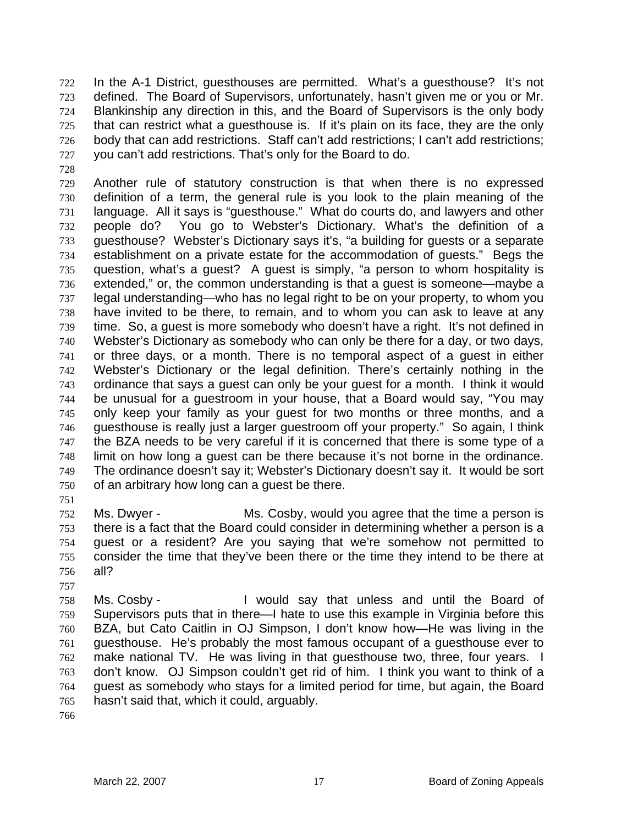In the A-1 District, guesthouses are permitted. What's a guesthouse? It's not defined. The Board of Supervisors, unfortunately, hasn't given me or you or Mr. Blankinship any direction in this, and the Board of Supervisors is the only body that can restrict what a guesthouse is. If it's plain on its face, they are the only body that can add restrictions. Staff can't add restrictions; I can't add restrictions; you can't add restrictions. That's only for the Board to do. 722 723 724 725 726 727

729 730 731 732 733 734 735 736 737 738 739 740 741 742 743 744 745 746 747 748 749 750 Another rule of statutory construction is that when there is no expressed definition of a term, the general rule is you look to the plain meaning of the language. All it says is "guesthouse." What do courts do, and lawyers and other people do? You go to Webster's Dictionary. What's the definition of a guesthouse? Webster's Dictionary says it's, "a building for guests or a separate establishment on a private estate for the accommodation of guests." Begs the question, what's a guest? A guest is simply, "a person to whom hospitality is extended," or, the common understanding is that a guest is someone—maybe a legal understanding—who has no legal right to be on your property, to whom you have invited to be there, to remain, and to whom you can ask to leave at any time. So, a guest is more somebody who doesn't have a right. It's not defined in Webster's Dictionary as somebody who can only be there for a day, or two days, or three days, or a month. There is no temporal aspect of a guest in either Webster's Dictionary or the legal definition. There's certainly nothing in the ordinance that says a guest can only be your guest for a month. I think it would be unusual for a guestroom in your house, that a Board would say, "You may only keep your family as your guest for two months or three months, and a guesthouse is really just a larger guestroom off your property." So again, I think the BZA needs to be very careful if it is concerned that there is some type of a limit on how long a guest can be there because it's not borne in the ordinance. The ordinance doesn't say it; Webster's Dictionary doesn't say it. It would be sort of an arbitrary how long can a guest be there.

751

757

728

752 753 754 755 756 Ms. Dwyer - Ms. Cosby, would you agree that the time a person is there is a fact that the Board could consider in determining whether a person is a guest or a resident? Are you saying that we're somehow not permitted to consider the time that they've been there or the time they intend to be there at all?

758 759 760 761 762 763 764 765 Ms. Cosby - The Would say that unless and until the Board of Supervisors puts that in there—I hate to use this example in Virginia before this BZA, but Cato Caitlin in OJ Simpson, I don't know how—He was living in the guesthouse. He's probably the most famous occupant of a guesthouse ever to make national TV. He was living in that questhouse two, three, four years. I don't know. OJ Simpson couldn't get rid of him. I think you want to think of a guest as somebody who stays for a limited period for time, but again, the Board hasn't said that, which it could, arguably.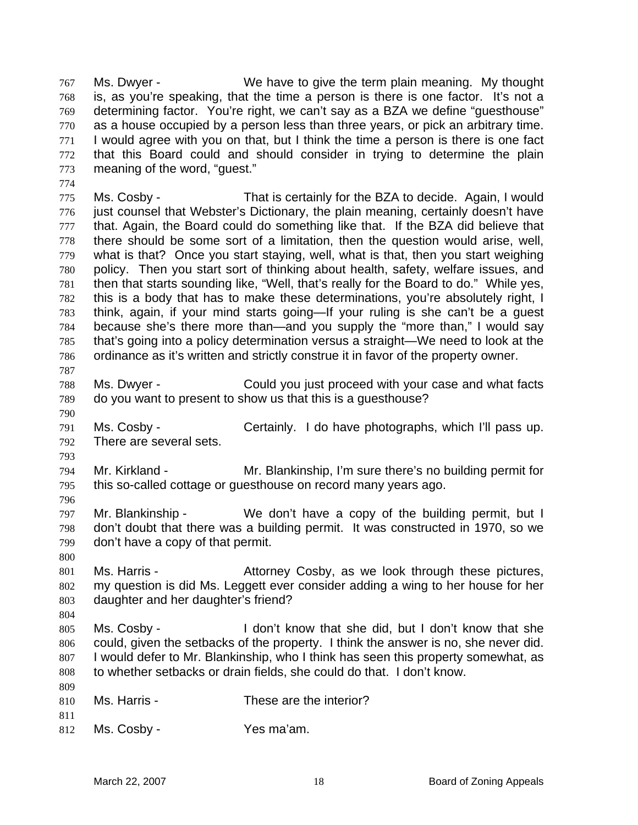Ms. Dwyer - We have to give the term plain meaning. My thought is, as you're speaking, that the time a person is there is one factor. It's not a determining factor. You're right, we can't say as a BZA we define "guesthouse" as a house occupied by a person less than three years, or pick an arbitrary time. I would agree with you on that, but I think the time a person is there is one fact that this Board could and should consider in trying to determine the plain meaning of the word, "guest." 767 768 769 770 771 772 773

775 776 777 778 779 780 781 782 783 784 785 786 Ms. Cosby - That is certainly for the BZA to decide. Again, I would just counsel that Webster's Dictionary, the plain meaning, certainly doesn't have that. Again, the Board could do something like that. If the BZA did believe that there should be some sort of a limitation, then the question would arise, well, what is that? Once you start staying, well, what is that, then you start weighing policy. Then you start sort of thinking about health, safety, welfare issues, and then that starts sounding like, "Well, that's really for the Board to do." While yes, this is a body that has to make these determinations, you're absolutely right, I think, again, if your mind starts going—If your ruling is she can't be a guest because she's there more than—and you supply the "more than," I would say that's going into a policy determination versus a straight—We need to look at the ordinance as it's written and strictly construe it in favor of the property owner.

788 789 Ms. Dwyer - Could you just proceed with your case and what facts do you want to present to show us that this is a guesthouse?

791 792 Ms. Cosby - Certainly. I do have photographs, which I'll pass up. There are several sets.

793

787

790

774

794 795 796 Mr. Kirkland - Mr. Blankinship, I'm sure there's no building permit for this so-called cottage or guesthouse on record many years ago.

797 798 799 Mr. Blankinship - We don't have a copy of the building permit, but I don't doubt that there was a building permit. It was constructed in 1970, so we don't have a copy of that permit.

800

804

801 802 803 Ms. Harris - The Attorney Cosby, as we look through these pictures, my question is did Ms. Leggett ever consider adding a wing to her house for her daughter and her daughter's friend?

805 806 807 808 Ms. Cosby - I don't know that she did, but I don't know that she could, given the setbacks of the property. I think the answer is no, she never did. I would defer to Mr. Blankinship, who I think has seen this property somewhat, as to whether setbacks or drain fields, she could do that. I don't know.

| 810 | Ms. Harris - | These are the interior? |
|-----|--------------|-------------------------|
|     |              |                         |

811

809

812 Ms. Cosby - Yes ma'am.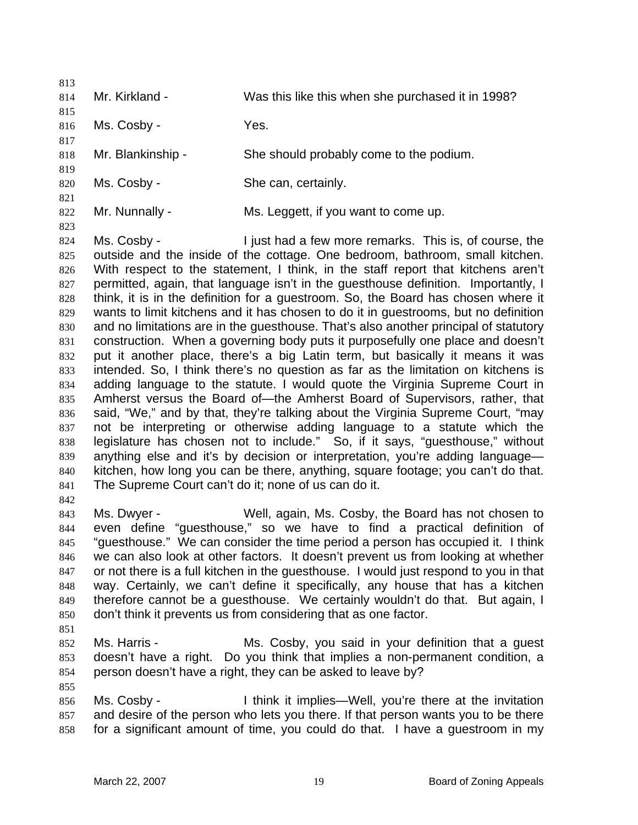| 813<br>814                                                                                                                        | Mr. Kirkland -                                                      | Was this like this when she purchased it in 1998?                                                                                                                                                                                                                                                                                                                                                                                                                                                                                                                                                                                                                                                                                                                                                                                                                                                                                                                                                                                                                                                                                                                                                                                                                                                                                                                                                                             |
|-----------------------------------------------------------------------------------------------------------------------------------|---------------------------------------------------------------------|-------------------------------------------------------------------------------------------------------------------------------------------------------------------------------------------------------------------------------------------------------------------------------------------------------------------------------------------------------------------------------------------------------------------------------------------------------------------------------------------------------------------------------------------------------------------------------------------------------------------------------------------------------------------------------------------------------------------------------------------------------------------------------------------------------------------------------------------------------------------------------------------------------------------------------------------------------------------------------------------------------------------------------------------------------------------------------------------------------------------------------------------------------------------------------------------------------------------------------------------------------------------------------------------------------------------------------------------------------------------------------------------------------------------------------|
| 815<br>816                                                                                                                        | Ms. Cosby -                                                         | Yes.                                                                                                                                                                                                                                                                                                                                                                                                                                                                                                                                                                                                                                                                                                                                                                                                                                                                                                                                                                                                                                                                                                                                                                                                                                                                                                                                                                                                                          |
| 817                                                                                                                               |                                                                     |                                                                                                                                                                                                                                                                                                                                                                                                                                                                                                                                                                                                                                                                                                                                                                                                                                                                                                                                                                                                                                                                                                                                                                                                                                                                                                                                                                                                                               |
| 818<br>819                                                                                                                        | Mr. Blankinship -                                                   | She should probably come to the podium.                                                                                                                                                                                                                                                                                                                                                                                                                                                                                                                                                                                                                                                                                                                                                                                                                                                                                                                                                                                                                                                                                                                                                                                                                                                                                                                                                                                       |
| 820<br>821                                                                                                                        | Ms. Cosby -                                                         | She can, certainly.                                                                                                                                                                                                                                                                                                                                                                                                                                                                                                                                                                                                                                                                                                                                                                                                                                                                                                                                                                                                                                                                                                                                                                                                                                                                                                                                                                                                           |
| 822<br>823                                                                                                                        | Mr. Nunnally -                                                      | Ms. Leggett, if you want to come up.                                                                                                                                                                                                                                                                                                                                                                                                                                                                                                                                                                                                                                                                                                                                                                                                                                                                                                                                                                                                                                                                                                                                                                                                                                                                                                                                                                                          |
| 824<br>825<br>826<br>827<br>828<br>829<br>830<br>831<br>832<br>833<br>834<br>835<br>836<br>837<br>838<br>839<br>840<br>841<br>842 | Ms. Cosby -<br>The Supreme Court can't do it; none of us can do it. | I just had a few more remarks. This is, of course, the<br>outside and the inside of the cottage. One bedroom, bathroom, small kitchen.<br>With respect to the statement, I think, in the staff report that kitchens aren't<br>permitted, again, that language isn't in the guesthouse definition. Importantly, I<br>think, it is in the definition for a guestroom. So, the Board has chosen where it<br>wants to limit kitchens and it has chosen to do it in guestrooms, but no definition<br>and no limitations are in the guesthouse. That's also another principal of statutory<br>construction. When a governing body puts it purposefully one place and doesn't<br>put it another place, there's a big Latin term, but basically it means it was<br>intended. So, I think there's no question as far as the limitation on kitchens is<br>adding language to the statute. I would quote the Virginia Supreme Court in<br>Amherst versus the Board of-the Amherst Board of Supervisors, rather, that<br>said, "We," and by that, they're talking about the Virginia Supreme Court, "may<br>not be interpreting or otherwise adding language to a statute which the<br>legislature has chosen not to include." So, if it says, "guesthouse," without<br>anything else and it's by decision or interpretation, you're adding language-<br>kitchen, how long you can be there, anything, square footage; you can't do that. |
| 843<br>844<br>845<br>846<br>847<br>848<br>849<br>850<br>851                                                                       | Ms. Dwyer -                                                         | Well, again, Ms. Cosby, the Board has not chosen to<br>even define "guesthouse," so we have to find a practical definition of<br>"guesthouse." We can consider the time period a person has occupied it. I think<br>we can also look at other factors. It doesn't prevent us from looking at whether<br>or not there is a full kitchen in the guesthouse. I would just respond to you in that<br>way. Certainly, we can't define it specifically, any house that has a kitchen<br>therefore cannot be a guesthouse. We certainly wouldn't do that. But again, I<br>don't think it prevents us from considering that as one factor.                                                                                                                                                                                                                                                                                                                                                                                                                                                                                                                                                                                                                                                                                                                                                                                            |
| 852<br>853<br>854<br>855                                                                                                          | Ms. Harris -                                                        | Ms. Cosby, you said in your definition that a guest<br>doesn't have a right. Do you think that implies a non-permanent condition, a<br>person doesn't have a right, they can be asked to leave by?                                                                                                                                                                                                                                                                                                                                                                                                                                                                                                                                                                                                                                                                                                                                                                                                                                                                                                                                                                                                                                                                                                                                                                                                                            |
| 856<br>857<br>858                                                                                                                 | Ms. Cosby -                                                         | I think it implies—Well, you're there at the invitation<br>and desire of the person who lets you there. If that person wants you to be there<br>for a significant amount of time, you could do that. I have a guestroom in my                                                                                                                                                                                                                                                                                                                                                                                                                                                                                                                                                                                                                                                                                                                                                                                                                                                                                                                                                                                                                                                                                                                                                                                                 |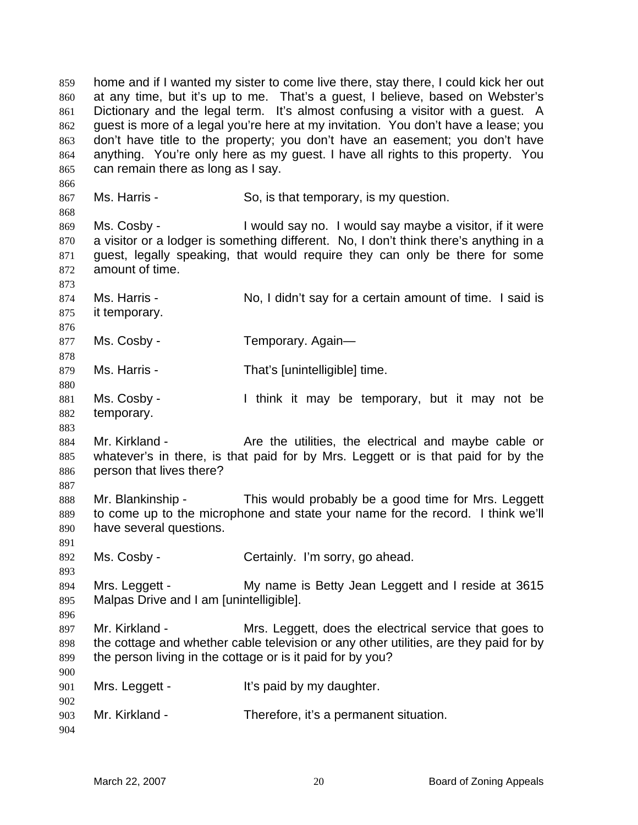home and if I wanted my sister to come live there, stay there, I could kick her out at any time, but it's up to me. That's a guest, I believe, based on Webster's Dictionary and the legal term. It's almost confusing a visitor with a guest. A guest is more of a legal you're here at my invitation. You don't have a lease; you don't have title to the property; you don't have an easement; you don't have anything. You're only here as my guest. I have all rights to this property. You can remain there as long as I say. 859 860 861 862 863 864 865 866 867 868 869 870 871 872 873 874 875 876 877 878 879 880 881 882 883 884 885 886 887 888 889 890 891 892 893 894 895 896 897 898 899 900 901 902 903 904 Ms. Harris - So, is that temporary, is my question. Ms. Cosby - I would say no. I would say maybe a visitor, if it were a visitor or a lodger is something different. No, I don't think there's anything in a guest, legally speaking, that would require they can only be there for some amount of time. Ms. Harris - No, I didn't say for a certain amount of time. I said is it temporary. Ms. Cosby - Temporary. Again-Ms. Harris - That's [unintelligible] time. Ms. Cosby - I think it may be temporary, but it may not be temporary. Mr. Kirkland - The Are the utilities, the electrical and maybe cable or whatever's in there, is that paid for by Mrs. Leggett or is that paid for by the person that lives there? Mr. Blankinship - This would probably be a good time for Mrs. Leggett to come up to the microphone and state your name for the record. I think we'll have several questions. Ms. Cosby - Certainly. I'm sorry, go ahead. Mrs. Leggett - My name is Betty Jean Leggett and I reside at 3615 Malpas Drive and I am [unintelligible]. Mr. Kirkland - Mrs. Leggett, does the electrical service that goes to the cottage and whether cable television or any other utilities, are they paid for by the person living in the cottage or is it paid for by you? Mrs. Leggett - It's paid by my daughter. Mr. Kirkland - Therefore, it's a permanent situation.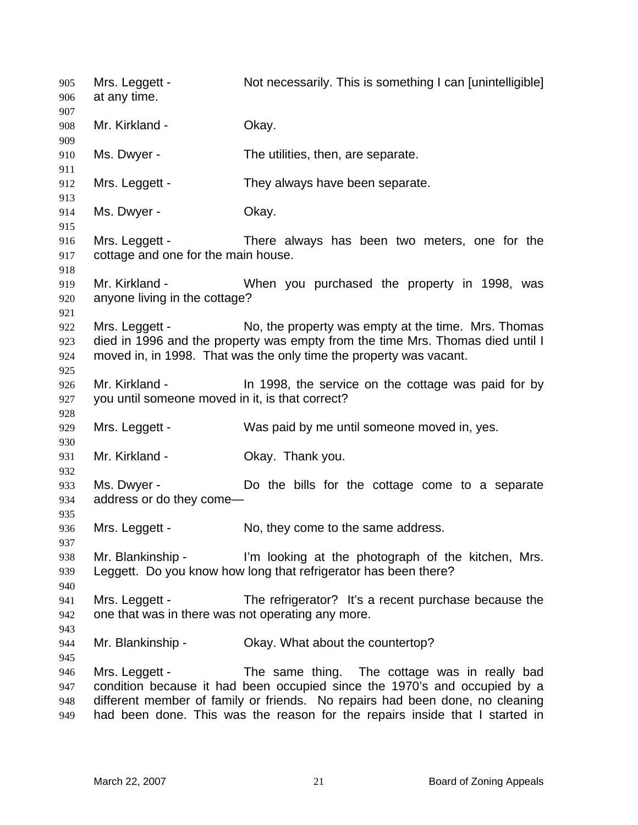Mrs. Leggett - Not necessarily. This is something I can [unintelligible] at any time. 905 906 907 908 909 910 911 912 913 914 915 916 917 918 919 920 921 922 923 924 925 926 927 928 929 930 931 932 933 934 935 936 937 938 939 940 941 942 943 944 945 946 947 948 949 Mr. Kirkland - **Okay.** Ms. Dwyer - The utilities, then, are separate. Mrs. Leggett - They always have been separate. Ms. Dwyer - Chay. Mrs. Leggett - There always has been two meters, one for the cottage and one for the main house. Mr. Kirkland - When you purchased the property in 1998, was anyone living in the cottage? Mrs. Leggett - No, the property was empty at the time. Mrs. Thomas died in 1996 and the property was empty from the time Mrs. Thomas died until I moved in, in 1998. That was the only time the property was vacant. Mr. Kirkland - The 1998, the service on the cottage was paid for by you until someone moved in it, is that correct? Mrs. Leggett - Was paid by me until someone moved in, yes. Mr. Kirkland - **Okay. Thank you.** Ms. Dwyer - The Do the bills for the cottage come to a separate address or do they come— Mrs. Leggett - No, they come to the same address. Mr. Blankinship - I'm looking at the photograph of the kitchen, Mrs. Leggett. Do you know how long that refrigerator has been there? Mrs. Leggett - The refrigerator? It's a recent purchase because the one that was in there was not operating any more. Mr. Blankinship - Ckay. What about the countertop? Mrs. Leggett - The same thing. The cottage was in really bad condition because it had been occupied since the 1970's and occupied by a different member of family or friends. No repairs had been done, no cleaning had been done. This was the reason for the repairs inside that I started in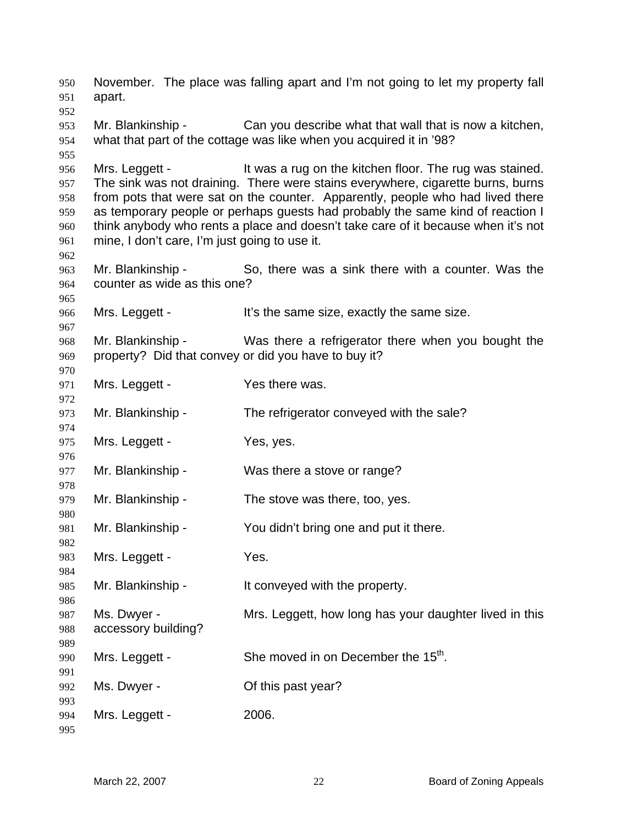November. The place was falling apart and I'm not going to let my property fall apart. Mr. Blankinship - Can you describe what that wall that is now a kitchen, what that part of the cottage was like when you acquired it in '98? Mrs. Leggett - The Mrs a rug on the kitchen floor. The rug was stained. The sink was not draining. There were stains everywhere, cigarette burns, burns from pots that were sat on the counter. Apparently, people who had lived there as temporary people or perhaps guests had probably the same kind of reaction I think anybody who rents a place and doesn't take care of it because when it's not mine, I don't care, I'm just going to use it. Mr. Blankinship - So, there was a sink there with a counter. Was the counter as wide as this one? Mrs. Leggett - It's the same size, exactly the same size. Mr. Blankinship - Was there a refrigerator there when you bought the property? Did that convey or did you have to buy it? Mrs. Leggett - Yes there was. Mr. Blankinship - The refrigerator conveyed with the sale? Mrs. Leggett - Yes, yes. Mr. Blankinship - Was there a stove or range? Mr. Blankinship - The stove was there, too, yes. Mr. Blankinship - You didn't bring one and put it there. Mrs. Leggett - Yes. Mr. Blankinship - It conveyed with the property. Ms. Dwyer - Mrs. Leggett, how long has your daughter lived in this accessory building? Mrs. Leggett - She moved in on December the  $15<sup>th</sup>$ . Ms. Dwyer - Common Common Common Common Discoversive Discoversive MS. Mrs. Leggett - 2006.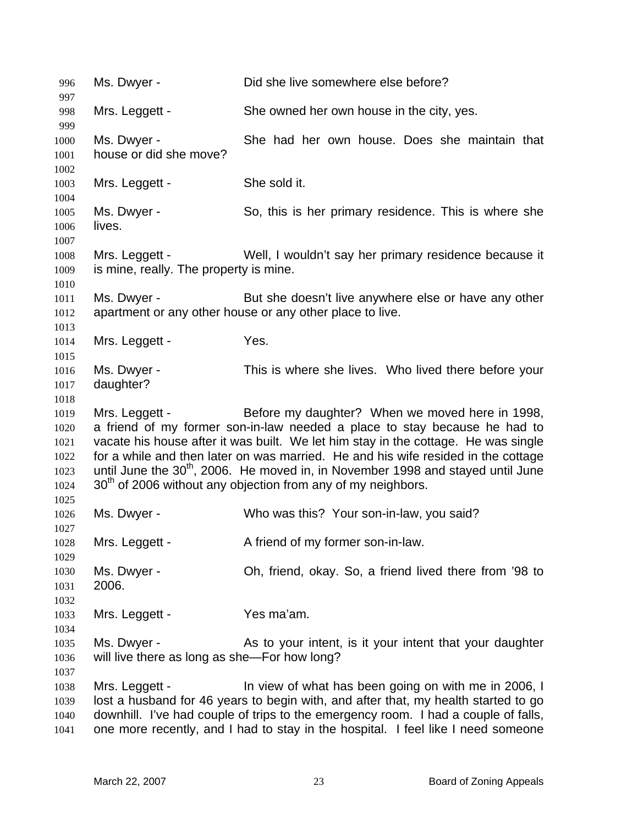996 Ms. Dwyer - Did she live somewhere else before? 997 998 999 1000 1001 1002 1003 1004 1005 1006 1007 1008 1009 1010 1011 1012 1013 1014 1015 1016 1017 1018 1019 1020 1021 1022 1023 1024 1025 1026 1027 1028 1029 1030 1031 1032 1033 1034 1035 1036 1037 1038 1039 1040 1041 Mrs. Leggett - She owned her own house in the city, yes. Ms. Dwyer - She had her own house. Does she maintain that house or did she move? Mrs. Leggett - She sold it. Ms. Dwyer - So, this is her primary residence. This is where she lives. Mrs. Leggett - Well, I wouldn't say her primary residence because it is mine, really. The property is mine. Ms. Dwyer - But she doesn't live anywhere else or have any other apartment or any other house or any other place to live. Mrs. Leggett - Yes. Ms. Dwyer - This is where she lives. Who lived there before your daughter? Mrs. Leggett - Before my daughter? When we moved here in 1998, a friend of my former son-in-law needed a place to stay because he had to vacate his house after it was built. We let him stay in the cottage. He was single for a while and then later on was married. He and his wife resided in the cottage until June the  $30<sup>th</sup>$ , 2006. He moved in, in November 1998 and stayed until June  $30<sup>th</sup>$  of 2006 without any objection from any of my neighbors. Ms. Dwyer - Who was this? Your son-in-law, you said? Mrs. Leggett - A friend of my former son-in-law. Ms. Dwyer - Oh, friend, okay. So, a friend lived there from '98 to 2006. Mrs. Leggett - Yes ma'am. Ms. Dwyer - The As to your intent, is it your intent that your daughter will live there as long as she—For how long? Mrs. Leggett - In view of what has been going on with me in 2006, I lost a husband for 46 years to begin with, and after that, my health started to go downhill. I've had couple of trips to the emergency room. I had a couple of falls, one more recently, and I had to stay in the hospital. I feel like I need someone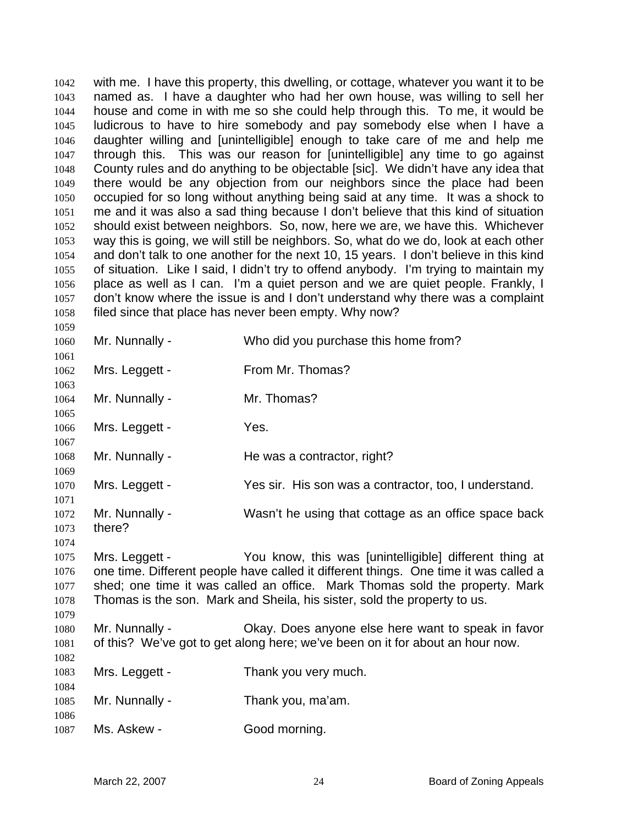with me. I have this property, this dwelling, or cottage, whatever you want it to be named as. I have a daughter who had her own house, was willing to sell her house and come in with me so she could help through this. To me, it would be ludicrous to have to hire somebody and pay somebody else when I have a daughter willing and [unintelligible] enough to take care of me and help me through this. This was our reason for [unintelligible] any time to go against County rules and do anything to be objectable [sic]. We didn't have any idea that there would be any objection from our neighbors since the place had been occupied for so long without anything being said at any time. It was a shock to me and it was also a sad thing because I don't believe that this kind of situation should exist between neighbors. So, now, here we are, we have this. Whichever way this is going, we will still be neighbors. So, what do we do, look at each other and don't talk to one another for the next 10, 15 years. I don't believe in this kind of situation. Like I said, I didn't try to offend anybody. I'm trying to maintain my place as well as I can. I'm a quiet person and we are quiet people. Frankly, I don't know where the issue is and I don't understand why there was a complaint filed since that place has never been empty. Why now? 1042 1043 1044 1045 1046 1047 1048 1049 1050 1051 1052 1053 1054 1055 1056 1057 1058 1059

1060 1061 1062 1063 1064 1065 1066 1067 1068 1069 1070 1071 1072 1073 1074 1075 1076 Mr. Nunnally - Who did you purchase this home from? Mrs. Leggett - From Mr. Thomas? Mr. Nunnally - Mr. Thomas? Mrs. Leggett - Yes. Mr. Nunnally - He was a contractor, right? Mrs. Leggett - Yes sir. His son was a contractor, too, I understand. Mr. Nunnally - Wasn't he using that cottage as an office space back there? Mrs. Leggett - You know, this was [unintelligible] different thing at one time. Different people have called it different things. One time it was called a

1077 1078 1079 shed; one time it was called an office. Mark Thomas sold the property. Mark Thomas is the son. Mark and Sheila, his sister, sold the property to us.

1080 1081 1082 Mr. Nunnally - Okay. Does anyone else here want to speak in favor of this? We've got to get along here; we've been on it for about an hour now.

1083 Mrs. Leggett - Thank you very much.

1085 Mr. Nunnally - Thank you, ma'am.

1087 Ms. Askew - Good morning.

1084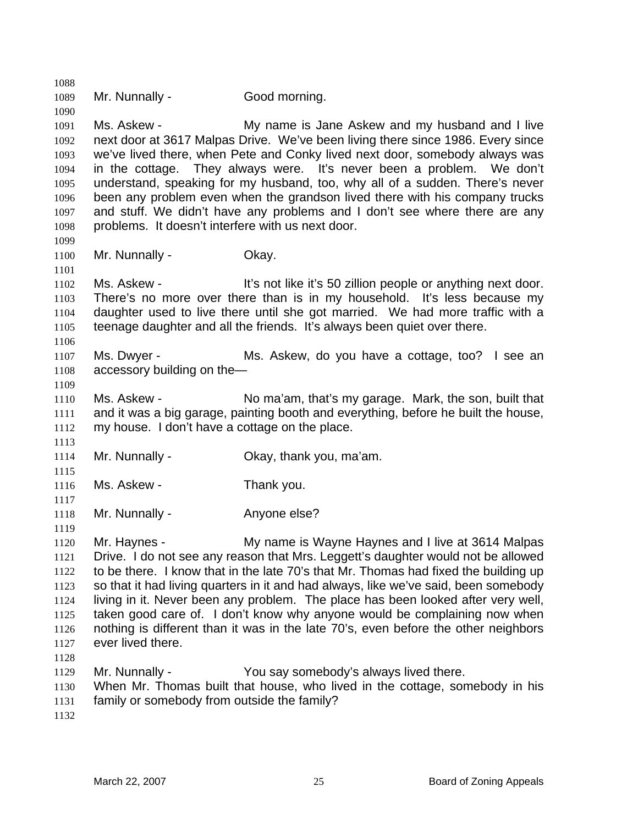1088 1089 1090 1091 1092 1093 1094 1095 1096 1097 1098 1099 1100 1101 1102 1103 1104 1105 1106 1107 1108 1109 1110 1111 1112 1113 1114 1115 1116 1117 1118 1119 1120 1121 1122 1123 1124 1125 1126 1127 1128 1129 1130 1131 1132 Mr. Nunnally - Good morning. Ms. Askew - The My name is Jane Askew and my husband and I live next door at 3617 Malpas Drive. We've been living there since 1986. Every since we've lived there, when Pete and Conky lived next door, somebody always was in the cottage. They always were. It's never been a problem. We don't understand, speaking for my husband, too, why all of a sudden. There's never been any problem even when the grandson lived there with his company trucks and stuff. We didn't have any problems and I don't see where there are any problems. It doesn't interfere with us next door. Mr. Nunnally - Chay. Ms. Askew - It's not like it's 50 zillion people or anything next door. There's no more over there than is in my household. It's less because my daughter used to live there until she got married. We had more traffic with a teenage daughter and all the friends. It's always been quiet over there. Ms. Dwyer - Ms. Askew, do you have a cottage, too? I see an accessory building on the— Ms. Askew - No ma'am, that's my garage. Mark, the son, built that and it was a big garage, painting booth and everything, before he built the house, my house. I don't have a cottage on the place. Mr. Nunnally - Ckay, thank you, ma'am. Ms. Askew - Thank you. Mr. Nunnally - Anyone else? Mr. Haynes - My name is Wayne Haynes and I live at 3614 Malpas Drive. I do not see any reason that Mrs. Leggett's daughter would not be allowed to be there. I know that in the late 70's that Mr. Thomas had fixed the building up so that it had living quarters in it and had always, like we've said, been somebody living in it. Never been any problem. The place has been looked after very well, taken good care of. I don't know why anyone would be complaining now when nothing is different than it was in the late 70's, even before the other neighbors ever lived there. Mr. Nunnally - You say somebody's always lived there. When Mr. Thomas built that house, who lived in the cottage, somebody in his family or somebody from outside the family?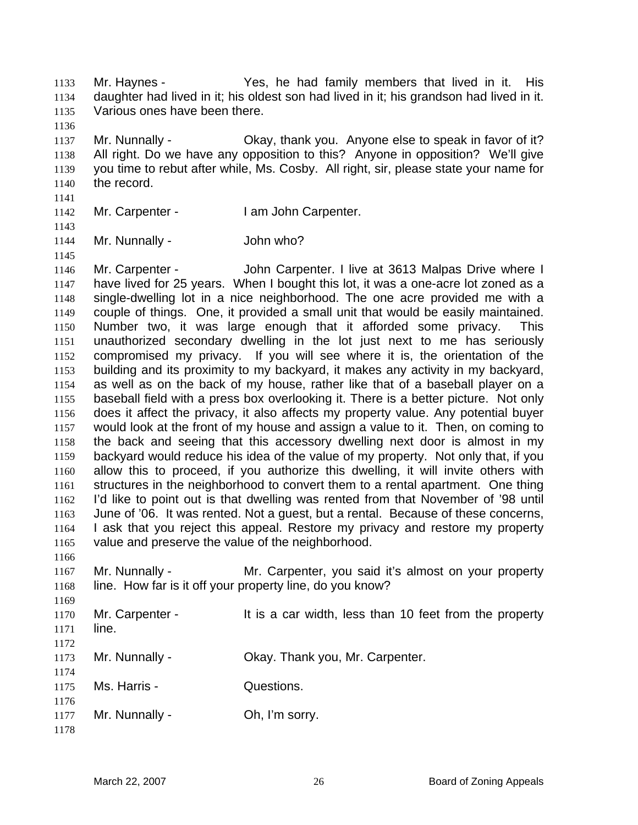Mr. Haynes - Yes, he had family members that lived in it. His daughter had lived in it; his oldest son had lived in it; his grandson had lived in it. Various ones have been there. 1133 1134 1135

1137 1138 1139 1140 Mr. Nunnally - Ckay, thank you. Anyone else to speak in favor of it? All right. Do we have any opposition to this? Anyone in opposition? We'll give you time to rebut after while, Ms. Cosby. All right, sir, please state your name for the record.

- 1142 Mr. Carpenter - I am John Carpenter.
- 1143 1144

1145

1141

1136

Mr. Nunnally - John who?

1146 1147 1148 1149 1150 1151 1152 1153 1154 1155 1156 1157 1158 1159 1160 1161 1162 1163 1164 1165 Mr. Carpenter - The John Carpenter. I live at 3613 Malpas Drive where I have lived for 25 years. When I bought this lot, it was a one-acre lot zoned as a single-dwelling lot in a nice neighborhood. The one acre provided me with a couple of things. One, it provided a small unit that would be easily maintained. Number two, it was large enough that it afforded some privacy. This unauthorized secondary dwelling in the lot just next to me has seriously compromised my privacy. If you will see where it is, the orientation of the building and its proximity to my backyard, it makes any activity in my backyard, as well as on the back of my house, rather like that of a baseball player on a baseball field with a press box overlooking it. There is a better picture. Not only does it affect the privacy, it also affects my property value. Any potential buyer would look at the front of my house and assign a value to it. Then, on coming to the back and seeing that this accessory dwelling next door is almost in my backyard would reduce his idea of the value of my property. Not only that, if you allow this to proceed, if you authorize this dwelling, it will invite others with structures in the neighborhood to convert them to a rental apartment. One thing I'd like to point out is that dwelling was rented from that November of '98 until June of '06. It was rented. Not a guest, but a rental. Because of these concerns, I ask that you reject this appeal. Restore my privacy and restore my property value and preserve the value of the neighborhood.

1166 1167 1168 1169 Mr. Nunnally - The Mr. Carpenter, you said it's almost on your property line. How far is it off your property line, do you know?

| 1170 | Mr. Carpenter - | It is a car width, less than 10 feet from the property |
|------|-----------------|--------------------------------------------------------|
| 1171 | line.           |                                                        |
| 1172 |                 |                                                        |
| 1173 | Mr. Nunnally -  | Okay. Thank you, Mr. Carpenter.                        |
| 1174 |                 |                                                        |
| 1175 | Ms. Harris -    | Questions.                                             |
| 1176 |                 |                                                        |
| 1177 | Mr. Nunnally -  | Oh, I'm sorry.                                         |
| 1178 |                 |                                                        |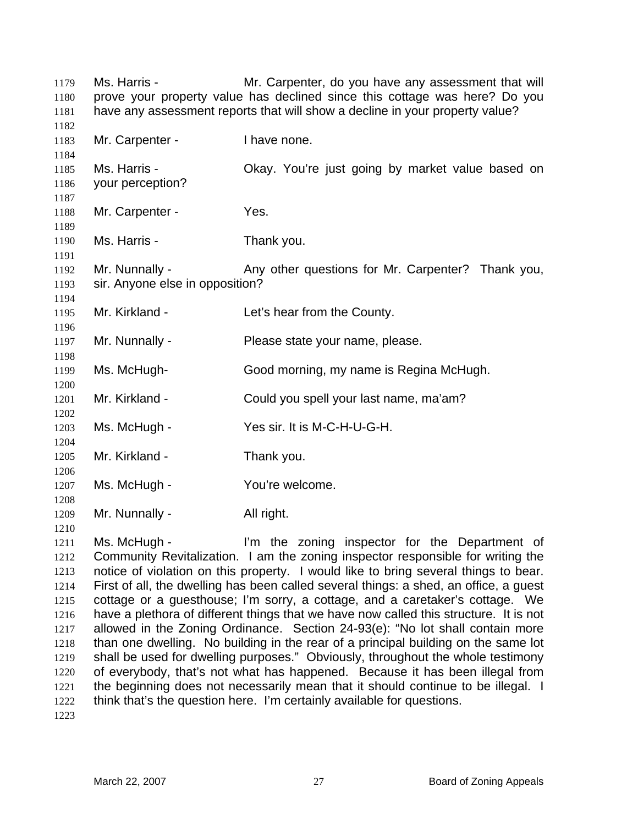Ms. Harris - Mr. Carpenter, do you have any assessment that will prove your property value has declined since this cottage was here? Do you have any assessment reports that will show a decline in your property value? 1179 1180 1181 1182 1183 1184 1185 1186 1187 1188 1189 1190 1191 1192 1193 1194 1195 1196 1197 1198 1199 1200 1201 1202 1203 1204 1205 1206 1207 1208 1209 1210 Mr. Carpenter - Thave none. Ms. Harris - Chay. You're just going by market value based on your perception? Mr. Carpenter - Yes. Ms. Harris - Thank you. Mr. Nunnally - Any other questions for Mr. Carpenter? Thank you, sir. Anyone else in opposition? Mr. Kirkland - Let's hear from the County. Mr. Nunnally - Please state your name, please. Ms. McHugh- Good morning, my name is Regina McHugh. Mr. Kirkland - Could you spell your last name, ma'am? Ms. McHugh - Yes sir. It is M-C-H-U-G-H. Mr. Kirkland - Thank you. Ms. McHugh - You're welcome. Mr. Nunnally - All right.

1211 1212 1213 1214 1215 1216 1217 1218 1219 1220 1221 1222 Ms. McHugh - I'm the zoning inspector for the Department of Community Revitalization. I am the zoning inspector responsible for writing the notice of violation on this property. I would like to bring several things to bear. First of all, the dwelling has been called several things: a shed, an office, a guest cottage or a guesthouse; I'm sorry, a cottage, and a caretaker's cottage. We have a plethora of different things that we have now called this structure. It is not allowed in the Zoning Ordinance. Section 24-93(e): "No lot shall contain more than one dwelling. No building in the rear of a principal building on the same lot shall be used for dwelling purposes." Obviously, throughout the whole testimony of everybody, that's not what has happened. Because it has been illegal from the beginning does not necessarily mean that it should continue to be illegal. I think that's the question here. I'm certainly available for questions.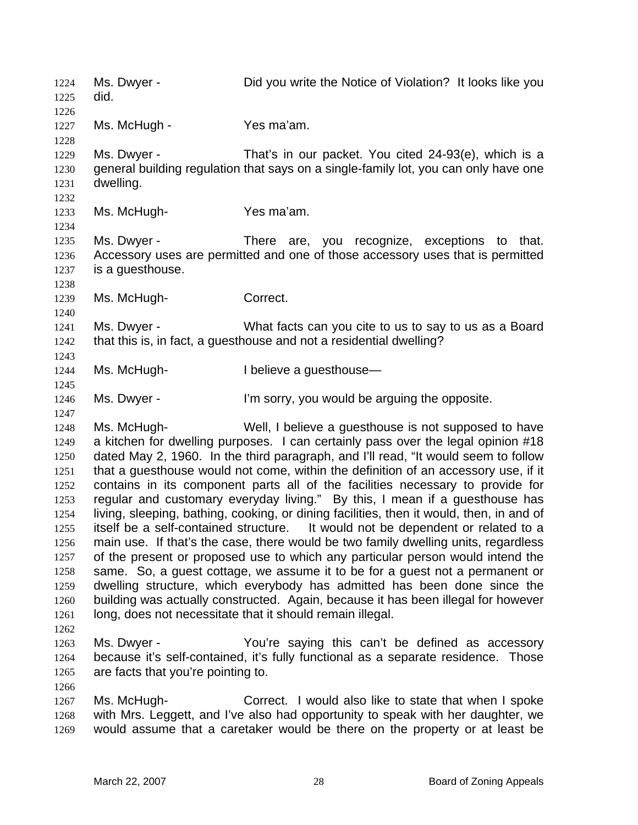Ms. Dwyer - **Did you write the Notice of Violation?** It looks like you did. 1224 1225 1226 1227 1228 1229 1230 1231 1232 1233 1234 1235 1236 1237 1238 1239 1240 1241 1242 1243 1244 1245 1246 1247 1248 1249 1250 1251 1252 1253 1254 1255 1256 1257 1258 1259 1260 1261 1262 1263 1264 1265 1266 1267 1268 1269 Ms. McHugh - Yes ma'am. Ms. Dwyer - That's in our packet. You cited 24-93(e), which is a general building regulation that says on a single-family lot, you can only have one dwelling. Ms. McHugh-<br>
Yes ma'am. Ms. Dwyer - There are, you recognize, exceptions to that. Accessory uses are permitted and one of those accessory uses that is permitted is a guesthouse. Ms. McHugh-**Correct.** Ms. Dwyer - What facts can you cite to us to say to us as a Board that this is, in fact, a guesthouse and not a residential dwelling? Ms. McHugh- I believe a questhouse— Ms. Dwyer - The Sorry, you would be arguing the opposite. Ms. McHugh- Well, I believe a guesthouse is not supposed to have a kitchen for dwelling purposes. I can certainly pass over the legal opinion #18 dated May 2, 1960. In the third paragraph, and I'll read, "It would seem to follow that a guesthouse would not come, within the definition of an accessory use, if it contains in its component parts all of the facilities necessary to provide for regular and customary everyday living." By this, I mean if a guesthouse has living, sleeping, bathing, cooking, or dining facilities, then it would, then, in and of itself be a self-contained structure. It would not be dependent or related to a main use. If that's the case, there would be two family dwelling units, regardless of the present or proposed use to which any particular person would intend the same. So, a guest cottage, we assume it to be for a guest not a permanent or dwelling structure, which everybody has admitted has been done since the building was actually constructed. Again, because it has been illegal for however long, does not necessitate that it should remain illegal. Ms. Dwyer - You're saying this can't be defined as accessory because it's self-contained, it's fully functional as a separate residence. Those are facts that you're pointing to. Ms. McHugh- Correct. I would also like to state that when I spoke with Mrs. Leggett, and I've also had opportunity to speak with her daughter, we would assume that a caretaker would be there on the property or at least be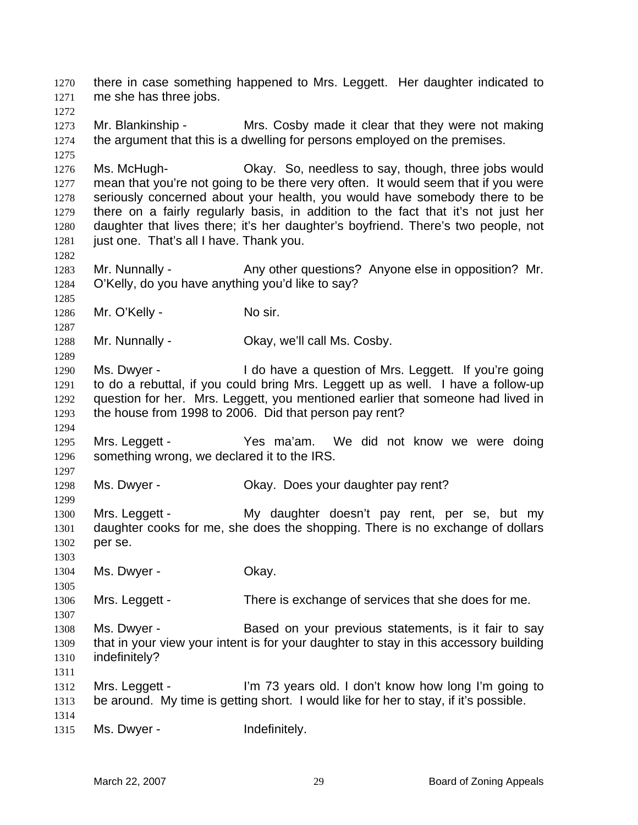there in case something happened to Mrs. Leggett. Her daughter indicated to me she has three jobs. 1270 1271 1272 1273 1274 1275 1276 1277 1278 1279 1280 1281 1282 1283 1284 1285 1286 1287 1288 1289 1290 1291 1292 1293 1294 1295 1296 1297 1298 1299 1300 1301 1302 1303 1304 1305 1306 1307 1308 1309 1310 1311 1312 1313 1314 1315 Mr. Blankinship - Mrs. Cosby made it clear that they were not making the argument that this is a dwelling for persons employed on the premises. Ms. McHugh- Okay. So, needless to say, though, three jobs would mean that you're not going to be there very often. It would seem that if you were seriously concerned about your health, you would have somebody there to be there on a fairly regularly basis, in addition to the fact that it's not just her daughter that lives there; it's her daughter's boyfriend. There's two people, not just one. That's all I have. Thank you. Mr. Nunnally - Any other questions? Anyone else in opposition? Mr. O'Kelly, do you have anything you'd like to say? Mr. O'Kelly - No sir. Mr. Nunnally - Ckay, we'll call Ms. Cosby. Ms. Dwyer - I do have a question of Mrs. Leggett. If you're going to do a rebuttal, if you could bring Mrs. Leggett up as well. I have a follow-up question for her. Mrs. Leggett, you mentioned earlier that someone had lived in the house from 1998 to 2006. Did that person pay rent? Mrs. Leggett - The Yes ma'am. We did not know we were doing something wrong, we declared it to the IRS. Ms. Dwyer - Ckay. Does your daughter pay rent? Mrs. Leggett - My daughter doesn't pay rent, per se, but my daughter cooks for me, she does the shopping. There is no exchange of dollars per se. Ms. Dwyer - Chay. Mrs. Leggett - There is exchange of services that she does for me. Ms. Dwyer - Based on your previous statements, is it fair to say that in your view your intent is for your daughter to stay in this accessory building indefinitely? Mrs. Leggett - I'm 73 years old. I don't know how long I'm going to be around. My time is getting short. I would like for her to stay, if it's possible. Ms. Dwyer - The Indefinitely.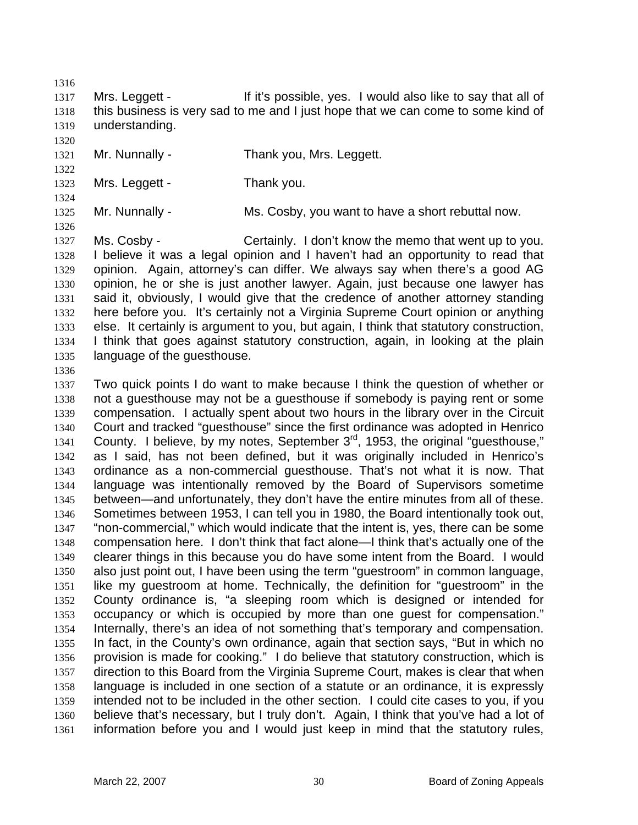1316

1317 1318 1319 Mrs. Leggett - If it's possible, yes. I would also like to say that all of this business is very sad to me and I just hope that we can come to some kind of understanding.

1320

1321 Mr. Nunnally - Thank you, Mrs. Leggett.

1322 1323 1324

1326

Mrs. Leggett - Thank you.

1325

Mr. Nunnally - Ms. Cosby, you want to have a short rebuttal now.

1327 1328 1329 1330 1331 1332 1333 1334 1335 Ms. Cosby - Certainly. I don't know the memo that went up to you. I believe it was a legal opinion and I haven't had an opportunity to read that opinion. Again, attorney's can differ. We always say when there's a good AG opinion, he or she is just another lawyer. Again, just because one lawyer has said it, obviously, I would give that the credence of another attorney standing here before you. It's certainly not a Virginia Supreme Court opinion or anything else. It certainly is argument to you, but again, I think that statutory construction, I think that goes against statutory construction, again, in looking at the plain language of the guesthouse.

1336

1337 1338 1339 1340 1341 1342 1343 1344 1345 1346 1347 1348 1349 1350 1351 1352 1353 1354 1355 1356 1357 1358 1359 1360 1361 Two quick points I do want to make because I think the question of whether or not a guesthouse may not be a guesthouse if somebody is paying rent or some compensation. I actually spent about two hours in the library over in the Circuit Court and tracked "guesthouse" since the first ordinance was adopted in Henrico County. I believe, by my notes, September 3<sup>rd</sup>, 1953, the original "guesthouse," as I said, has not been defined, but it was originally included in Henrico's ordinance as a non-commercial guesthouse. That's not what it is now. That language was intentionally removed by the Board of Supervisors sometime between—and unfortunately, they don't have the entire minutes from all of these. Sometimes between 1953, I can tell you in 1980, the Board intentionally took out, "non-commercial," which would indicate that the intent is, yes, there can be some compensation here. I don't think that fact alone—I think that's actually one of the clearer things in this because you do have some intent from the Board. I would also just point out, I have been using the term "guestroom" in common language, like my guestroom at home. Technically, the definition for "guestroom" in the County ordinance is, "a sleeping room which is designed or intended for occupancy or which is occupied by more than one guest for compensation." Internally, there's an idea of not something that's temporary and compensation. In fact, in the County's own ordinance, again that section says, "But in which no provision is made for cooking." I do believe that statutory construction, which is direction to this Board from the Virginia Supreme Court, makes is clear that when language is included in one section of a statute or an ordinance, it is expressly intended not to be included in the other section. I could cite cases to you, if you believe that's necessary, but I truly don't. Again, I think that you've had a lot of information before you and I would just keep in mind that the statutory rules,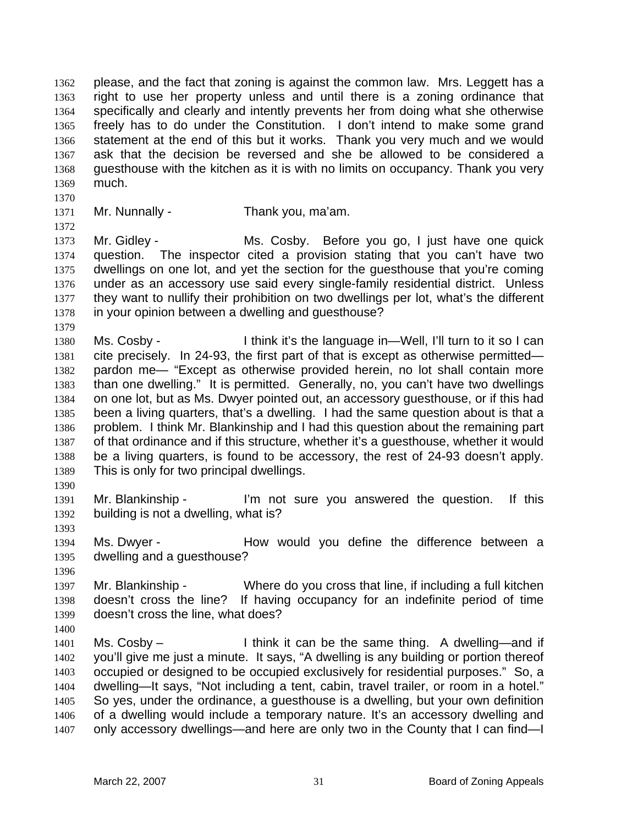please, and the fact that zoning is against the common law. Mrs. Leggett has a right to use her property unless and until there is a zoning ordinance that specifically and clearly and intently prevents her from doing what she otherwise freely has to do under the Constitution. I don't intend to make some grand statement at the end of this but it works. Thank you very much and we would ask that the decision be reversed and she be allowed to be considered a guesthouse with the kitchen as it is with no limits on occupancy. Thank you very much. 1362 1363 1364 1365 1366 1367 1368 1369

1370 1371

1372

Mr. Nunnally - Thank you, ma'am.

1373 1374 1375 1376 1377 1378 Mr. Gidley - **Ms. Cosby.** Before you go, I just have one quick question. The inspector cited a provision stating that you can't have two dwellings on one lot, and yet the section for the guesthouse that you're coming under as an accessory use said every single-family residential district. Unless they want to nullify their prohibition on two dwellings per lot, what's the different in your opinion between a dwelling and guesthouse?

- 1379 1380 1381 1382 1383 1384 1385 1386 1387 1388 1389 Ms. Cosby - I think it's the language in—Well, I'll turn to it so I can cite precisely. In 24-93, the first part of that is except as otherwise permitted pardon me— "Except as otherwise provided herein, no lot shall contain more than one dwelling." It is permitted. Generally, no, you can't have two dwellings on one lot, but as Ms. Dwyer pointed out, an accessory guesthouse, or if this had been a living quarters, that's a dwelling. I had the same question about is that a problem. I think Mr. Blankinship and I had this question about the remaining part of that ordinance and if this structure, whether it's a guesthouse, whether it would be a living quarters, is found to be accessory, the rest of 24-93 doesn't apply. This is only for two principal dwellings.
- 1390

1391 1392 Mr. Blankinship - I'm not sure you answered the question. If this building is not a dwelling, what is?

1394 1395 Ms. Dwyer - The How would you define the difference between a dwelling and a guesthouse?

1396

1400

1393

1397 1398 1399 Mr. Blankinship - Where do you cross that line, if including a full kitchen doesn't cross the line? If having occupancy for an indefinite period of time doesn't cross the line, what does?

1401 1402 1403 1404 1405 1406 1407 Ms. Cosby – I think it can be the same thing. A dwelling—and if you'll give me just a minute. It says, "A dwelling is any building or portion thereof occupied or designed to be occupied exclusively for residential purposes." So, a dwelling—It says, "Not including a tent, cabin, travel trailer, or room in a hotel." So yes, under the ordinance, a guesthouse is a dwelling, but your own definition of a dwelling would include a temporary nature. It's an accessory dwelling and only accessory dwellings—and here are only two in the County that I can find—I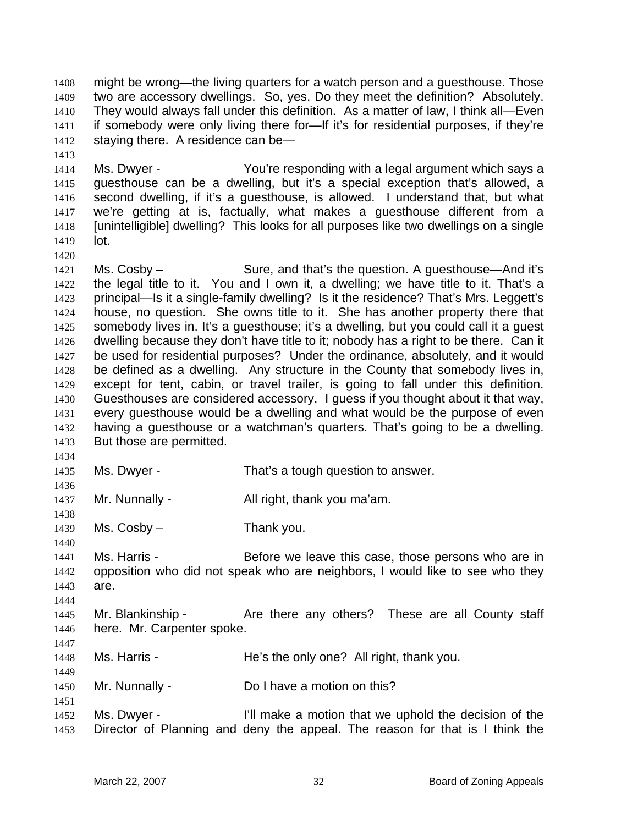might be wrong—the living quarters for a watch person and a guesthouse. Those two are accessory dwellings. So, yes. Do they meet the definition? Absolutely. They would always fall under this definition. As a matter of law, I think all—Even if somebody were only living there for—If it's for residential purposes, if they're staying there. A residence can be— 1408 1409 1410 1411 1412

1414 1415 1416 1417 1418 1419 Ms. Dwyer - The You're responding with a legal argument which says a guesthouse can be a dwelling, but it's a special exception that's allowed, a second dwelling, if it's a guesthouse, is allowed. I understand that, but what we're getting at is, factually, what makes a guesthouse different from a [unintelligible] dwelling? This looks for all purposes like two dwellings on a single lot.

1421 1422 1423 1424 1425 1426 1427 1428 1429 1430 1431 1432 1433 Ms. Cosby – Sure, and that's the question. A questhouse—And it's the legal title to it. You and I own it, a dwelling; we have title to it. That's a principal—Is it a single-family dwelling? Is it the residence? That's Mrs. Leggett's house, no question. She owns title to it. She has another property there that somebody lives in. It's a guesthouse; it's a dwelling, but you could call it a guest dwelling because they don't have title to it; nobody has a right to be there. Can it be used for residential purposes? Under the ordinance, absolutely, and it would be defined as a dwelling. Any structure in the County that somebody lives in, except for tent, cabin, or travel trailer, is going to fall under this definition. Guesthouses are considered accessory. I guess if you thought about it that way, every guesthouse would be a dwelling and what would be the purpose of even having a guesthouse or a watchman's quarters. That's going to be a dwelling. But those are permitted.

1434

1436

1438

1440

1444

1449

1451

1413

- 1435 Ms. Dwyer - That's a tough question to answer.
- 1437 Mr. Nunnally - All right, thank you ma'am.
- 1439  $Ms. \text{Cosby} - \text{Transy} - \text{Transy}$
- 1441 1442 1443 Ms. Harris - Before we leave this case, those persons who are in opposition who did not speak who are neighbors, I would like to see who they are.
- 1445 1446 1447 Mr. Blankinship - These are all County staff here. Mr. Carpenter spoke.
- 1448 Ms. Harris - The He's the only one? All right, thank you.
- 1450 Mr. Nunnally - Do I have a motion on this?
- 1452 1453 Ms. Dwyer - I'll make a motion that we uphold the decision of the Director of Planning and deny the appeal. The reason for that is I think the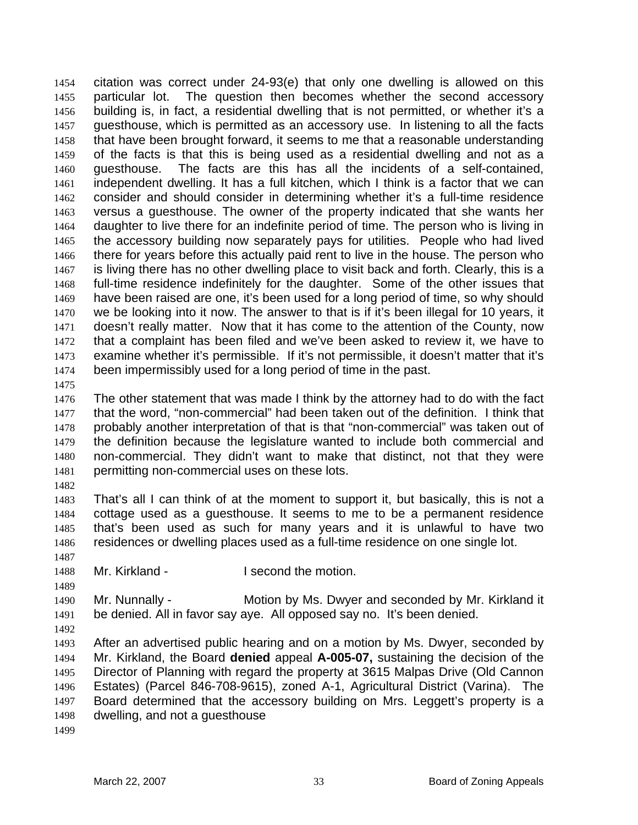citation was correct under 24-93(e) that only one dwelling is allowed on this particular lot. The question then becomes whether the second accessory building is, in fact, a residential dwelling that is not permitted, or whether it's a guesthouse, which is permitted as an accessory use. In listening to all the facts that have been brought forward, it seems to me that a reasonable understanding of the facts is that this is being used as a residential dwelling and not as a guesthouse. The facts are this has all the incidents of a self-contained, independent dwelling. It has a full kitchen, which I think is a factor that we can consider and should consider in determining whether it's a full-time residence versus a guesthouse. The owner of the property indicated that she wants her daughter to live there for an indefinite period of time. The person who is living in the accessory building now separately pays for utilities. People who had lived there for years before this actually paid rent to live in the house. The person who is living there has no other dwelling place to visit back and forth. Clearly, this is a full-time residence indefinitely for the daughter. Some of the other issues that have been raised are one, it's been used for a long period of time, so why should we be looking into it now. The answer to that is if it's been illegal for 10 years, it doesn't really matter. Now that it has come to the attention of the County, now that a complaint has been filed and we've been asked to review it, we have to examine whether it's permissible. If it's not permissible, it doesn't matter that it's been impermissibly used for a long period of time in the past. 1454 1455 1456 1457 1458 1459 1460 1461 1462 1463 1464 1465 1466 1467 1468 1469 1470 1471 1472 1473 1474

1475

1476 1477 1478 1479 1480 1481 The other statement that was made I think by the attorney had to do with the fact that the word, "non-commercial" had been taken out of the definition. I think that probably another interpretation of that is that "non-commercial" was taken out of the definition because the legislature wanted to include both commercial and non-commercial. They didn't want to make that distinct, not that they were permitting non-commercial uses on these lots.

1482

1483 1484 1485 1486 That's all I can think of at the moment to support it, but basically, this is not a cottage used as a guesthouse. It seems to me to be a permanent residence that's been used as such for many years and it is unlawful to have two residences or dwelling places used as a full-time residence on one single lot.

1487

1489

1488 Mr. Kirkland - **I** second the motion.

1490 1491 Mr. Nunnally - **Motion by Ms. Dwyer and seconded by Mr. Kirkland it** be denied. All in favor say aye. All opposed say no. It's been denied.

1492

1493 1494 1495 1496 1497 1498 After an advertised public hearing and on a motion by Ms. Dwyer, seconded by Mr. Kirkland, the Board **denied** appeal **A-005-07,** sustaining the decision of the Director of Planning with regard the property at 3615 Malpas Drive (Old Cannon Estates) (Parcel 846-708-9615), zoned A-1, Agricultural District (Varina). The Board determined that the accessory building on Mrs. Leggett's property is a dwelling, and not a guesthouse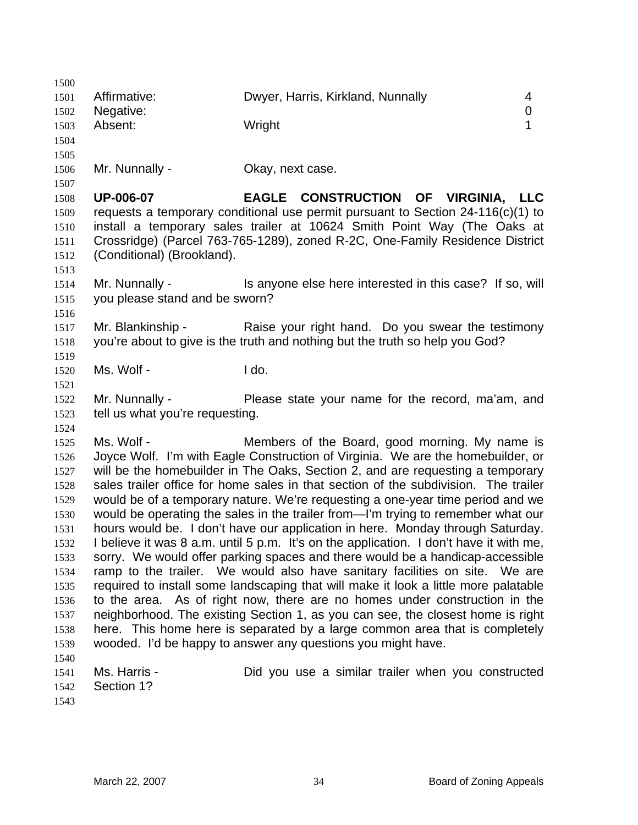| 1500         |                                 |                                                                                                                                   |             |
|--------------|---------------------------------|-----------------------------------------------------------------------------------------------------------------------------------|-------------|
| 1501         | Affirmative:                    | Dwyer, Harris, Kirkland, Nunnally                                                                                                 | 4           |
| 1502         | Negative:                       |                                                                                                                                   | $\mathbf 0$ |
| 1503         | Absent:                         | Wright                                                                                                                            | 1           |
| 1504         |                                 |                                                                                                                                   |             |
| 1505         |                                 |                                                                                                                                   |             |
| 1506         | Mr. Nunnally -                  | Okay, next case.                                                                                                                  |             |
| 1507         |                                 |                                                                                                                                   |             |
| 1508         | <b>UP-006-07</b>                | EAGLE CONSTRUCTION OF VIRGINIA, LLC                                                                                               |             |
| 1509         |                                 | requests a temporary conditional use permit pursuant to Section $24-116(c)(1)$ to                                                 |             |
| 1510         |                                 | install a temporary sales trailer at 10624 Smith Point Way (The Oaks at                                                           |             |
| 1511         |                                 | Crossridge) (Parcel 763-765-1289), zoned R-2C, One-Family Residence District                                                      |             |
| 1512         | (Conditional) (Brookland).      |                                                                                                                                   |             |
| 1513         |                                 |                                                                                                                                   |             |
| 1514         | Mr. Nunnally -                  | Is anyone else here interested in this case? If so, will                                                                          |             |
| 1515         | you please stand and be sworn?  |                                                                                                                                   |             |
| 1516         |                                 |                                                                                                                                   |             |
| 1517         | Mr. Blankinship -               | Raise your right hand. Do you swear the testimony                                                                                 |             |
| 1518         |                                 | you're about to give is the truth and nothing but the truth so help you God?                                                      |             |
| 1519         |                                 |                                                                                                                                   |             |
| 1520         | Ms. Wolf -                      | I do.                                                                                                                             |             |
| 1521         |                                 |                                                                                                                                   |             |
| 1522         | Mr. Nunnally -                  | Please state your name for the record, ma'am, and                                                                                 |             |
| 1523         | tell us what you're requesting. |                                                                                                                                   |             |
| 1524         | Ms. Wolf -                      |                                                                                                                                   |             |
| 1525<br>1526 |                                 | Members of the Board, good morning. My name is<br>Joyce Wolf. I'm with Eagle Construction of Virginia. We are the homebuilder, or |             |
| 1527         |                                 | will be the homebuilder in The Oaks, Section 2, and are requesting a temporary                                                    |             |
| 1528         |                                 | sales trailer office for home sales in that section of the subdivision. The trailer                                               |             |
| 1529         |                                 | would be of a temporary nature. We're requesting a one-year time period and we                                                    |             |
| 1530         |                                 | would be operating the sales in the trailer from-I'm trying to remember what our                                                  |             |
| 1531         |                                 | hours would be. I don't have our application in here. Monday through Saturday.                                                    |             |
| 1532         |                                 | believe it was 8 a.m. until 5 p.m. It's on the application. I don't have it with me,                                              |             |
| 1533         |                                 | sorry. We would offer parking spaces and there would be a handicap-accessible                                                     |             |
| 1534         |                                 | ramp to the trailer. We would also have sanitary facilities on site. We are                                                       |             |
| 1535         |                                 | required to install some landscaping that will make it look a little more palatable                                               |             |
| 1536         |                                 | to the area. As of right now, there are no homes under construction in the                                                        |             |
| 1537         |                                 | neighborhood. The existing Section 1, as you can see, the closest home is right                                                   |             |
| 1538         |                                 | here. This home here is separated by a large common area that is completely                                                       |             |
| 1539         |                                 | wooded. I'd be happy to answer any questions you might have.                                                                      |             |
| 1540         |                                 |                                                                                                                                   |             |
| 1541         | Ms. Harris -                    | Did you use a similar trailer when you constructed                                                                                |             |
| 1542         | Section 1?                      |                                                                                                                                   |             |
| 1543         |                                 |                                                                                                                                   |             |
|              |                                 |                                                                                                                                   |             |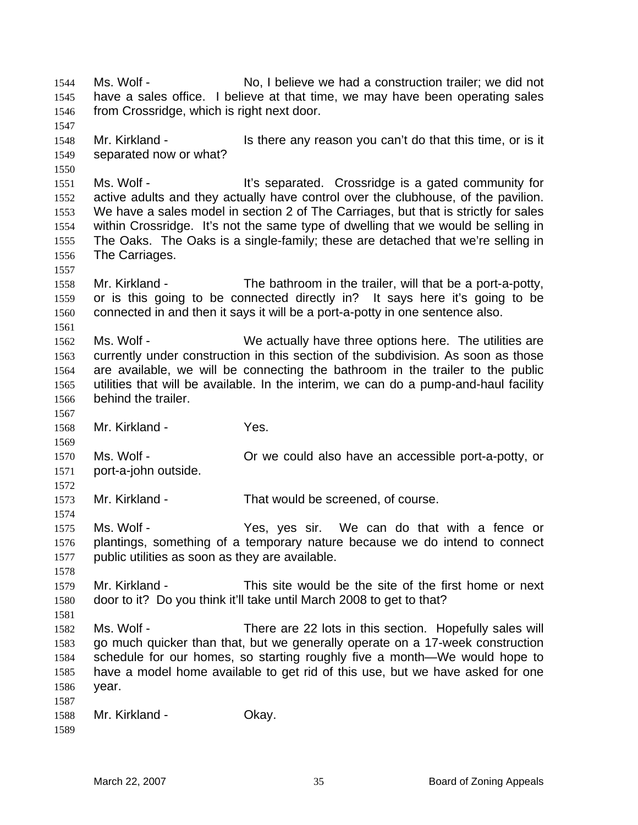Ms. Wolf - No, I believe we had a construction trailer; we did not have a sales office. I believe at that time, we may have been operating sales from Crossridge, which is right next door. 1544 1545 1546 1547 1548 1549 1550 1551 1552 1553 1554 1555 1556 1557 1558 1559 1560 1561 1562 1563 1564 1565 1566 1567 1568 1569 1570 1571 1572 1573 1574 1575 1576 1577 1578 1579 1580 1581 1582 1583 1584 1585 1586 1587 1588 1589 Mr. Kirkland - Is there any reason you can't do that this time, or is it separated now or what? Ms. Wolf - The Music of the Separated. Crossridge is a gated community for active adults and they actually have control over the clubhouse, of the pavilion. We have a sales model in section 2 of The Carriages, but that is strictly for sales within Crossridge. It's not the same type of dwelling that we would be selling in The Oaks. The Oaks is a single-family; these are detached that we're selling in The Carriages. Mr. Kirkland - The bathroom in the trailer, will that be a port-a-potty, or is this going to be connected directly in? It says here it's going to be connected in and then it says it will be a port-a-potty in one sentence also. Ms. Wolf - We actually have three options here. The utilities are currently under construction in this section of the subdivision. As soon as those are available, we will be connecting the bathroom in the trailer to the public utilities that will be available. In the interim, we can do a pump-and-haul facility behind the trailer. Mr. Kirkland - Yes. Ms. Wolf - Correct could also have an accessible port-a-potty, or port-a-john outside. Mr. Kirkland - That would be screened, of course. Ms. Wolf - The Yes, yes sir. We can do that with a fence or plantings, something of a temporary nature because we do intend to connect public utilities as soon as they are available. Mr. Kirkland - This site would be the site of the first home or next door to it? Do you think it'll take until March 2008 to get to that? Ms. Wolf - There are 22 lots in this section. Hopefully sales will go much quicker than that, but we generally operate on a 17-week construction schedule for our homes, so starting roughly five a month—We would hope to have a model home available to get rid of this use, but we have asked for one year. Mr. Kirkland - **Okay.**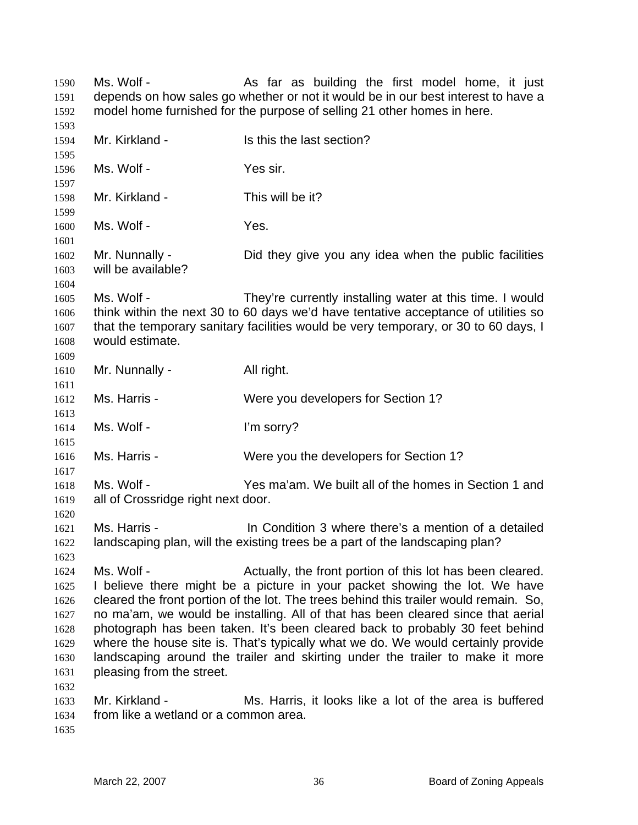| 1590<br>1591                                                         | Ms. Wolf -                                              | As far as building the first model home, it just<br>depends on how sales go whether or not it would be in our best interest to have a                                                                                                                                                                                                                                                                                                                                                                                                                                     |
|----------------------------------------------------------------------|---------------------------------------------------------|---------------------------------------------------------------------------------------------------------------------------------------------------------------------------------------------------------------------------------------------------------------------------------------------------------------------------------------------------------------------------------------------------------------------------------------------------------------------------------------------------------------------------------------------------------------------------|
| 1592                                                                 |                                                         | model home furnished for the purpose of selling 21 other homes in here.                                                                                                                                                                                                                                                                                                                                                                                                                                                                                                   |
| 1593<br>1594<br>1595                                                 | Mr. Kirkland -                                          | Is this the last section?                                                                                                                                                                                                                                                                                                                                                                                                                                                                                                                                                 |
| 1596<br>1597                                                         | Ms. Wolf -                                              | Yes sir.                                                                                                                                                                                                                                                                                                                                                                                                                                                                                                                                                                  |
| 1598<br>1599                                                         | Mr. Kirkland -                                          | This will be it?                                                                                                                                                                                                                                                                                                                                                                                                                                                                                                                                                          |
| 1600<br>1601                                                         | Ms. Wolf -                                              | Yes.                                                                                                                                                                                                                                                                                                                                                                                                                                                                                                                                                                      |
| 1602<br>1603<br>1604                                                 | Mr. Nunnally -<br>will be available?                    | Did they give you any idea when the public facilities                                                                                                                                                                                                                                                                                                                                                                                                                                                                                                                     |
| 1605<br>1606<br>1607<br>1608<br>1609                                 | Ms. Wolf -<br>would estimate.                           | They're currently installing water at this time. I would<br>think within the next 30 to 60 days we'd have tentative acceptance of utilities so<br>that the temporary sanitary facilities would be very temporary, or 30 to 60 days, I                                                                                                                                                                                                                                                                                                                                     |
| 1610<br>1611                                                         | Mr. Nunnally -                                          | All right.                                                                                                                                                                                                                                                                                                                                                                                                                                                                                                                                                                |
| 1612<br>1613                                                         | Ms. Harris -                                            | Were you developers for Section 1?                                                                                                                                                                                                                                                                                                                                                                                                                                                                                                                                        |
| 1614<br>1615                                                         | Ms. Wolf -                                              | I'm sorry?                                                                                                                                                                                                                                                                                                                                                                                                                                                                                                                                                                |
| 1616<br>1617                                                         | Ms. Harris -                                            | Were you the developers for Section 1?                                                                                                                                                                                                                                                                                                                                                                                                                                                                                                                                    |
| 1618<br>1619<br>1620                                                 | Ms. Wolf -<br>all of Crossridge right next door.        | Yes ma'am. We built all of the homes in Section 1 and                                                                                                                                                                                                                                                                                                                                                                                                                                                                                                                     |
| 1621<br>1622<br>1623                                                 | Ms. Harris -                                            | In Condition 3 where there's a mention of a detailed<br>landscaping plan, will the existing trees be a part of the landscaping plan?                                                                                                                                                                                                                                                                                                                                                                                                                                      |
| 1624<br>1625<br>1626<br>1627<br>1628<br>1629<br>1630<br>1631<br>1632 | Ms. Wolf -<br>pleasing from the street.                 | Actually, the front portion of this lot has been cleared.<br>I believe there might be a picture in your packet showing the lot. We have<br>cleared the front portion of the lot. The trees behind this trailer would remain. So,<br>no ma'am, we would be installing. All of that has been cleared since that aerial<br>photograph has been taken. It's been cleared back to probably 30 feet behind<br>where the house site is. That's typically what we do. We would certainly provide<br>landscaping around the trailer and skirting under the trailer to make it more |
| 1633<br>1634<br>1635                                                 | Mr. Kirkland -<br>from like a wetland or a common area. | Ms. Harris, it looks like a lot of the area is buffered                                                                                                                                                                                                                                                                                                                                                                                                                                                                                                                   |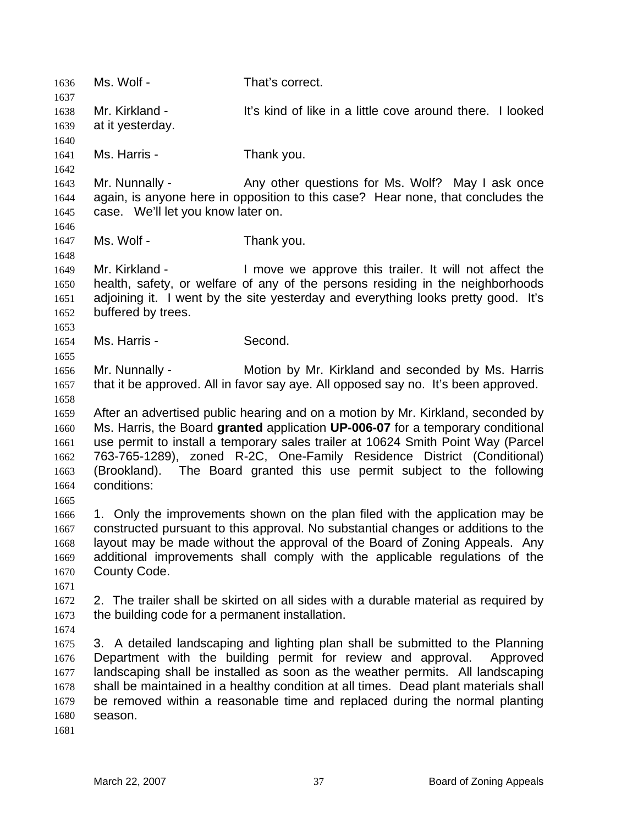1636 Ms. Wolf - That's correct. 1637 1638 1639 1640 1641 1642 1643 1644 1645 1646 1647 1648 1649 1650 1651 1652 1653 1654 1655 1656 1657 1658 1659 1660 1661 1662 1663 1664 1665 1666 1667 1668 1669 1670 1671 1672 1673 1674 1675 1676 1677 1678 1679 1680 1681 Mr. Kirkland - The State of like in a little cove around there. I looked at it yesterday. Ms. Harris - Thank you. Mr. Nunnally - Any other questions for Ms. Wolf? May I ask once again, is anyone here in opposition to this case? Hear none, that concludes the case. We'll let you know later on. Ms. Wolf - Thank you. Mr. Kirkland - The Move we approve this trailer. It will not affect the health, safety, or welfare of any of the persons residing in the neighborhoods adjoining it. I went by the site yesterday and everything looks pretty good. It's buffered by trees. Ms. Harris - Second. Mr. Nunnally - Motion by Mr. Kirkland and seconded by Ms. Harris that it be approved. All in favor say aye. All opposed say no. It's been approved. After an advertised public hearing and on a motion by Mr. Kirkland, seconded by Ms. Harris, the Board **granted** application **UP-006-07** for a temporary conditional use permit to install a temporary sales trailer at 10624 Smith Point Way (Parcel 763-765-1289), zoned R-2C, One-Family Residence District (Conditional) (Brookland). The Board granted this use permit subject to the following conditions: 1. Only the improvements shown on the plan filed with the application may be constructed pursuant to this approval. No substantial changes or additions to the layout may be made without the approval of the Board of Zoning Appeals. Any additional improvements shall comply with the applicable regulations of the County Code. 2. The trailer shall be skirted on all sides with a durable material as required by the building code for a permanent installation. 3. A detailed landscaping and lighting plan shall be submitted to the Planning Department with the building permit for review and approval. Approved landscaping shall be installed as soon as the weather permits. All landscaping shall be maintained in a healthy condition at all times. Dead plant materials shall be removed within a reasonable time and replaced during the normal planting season.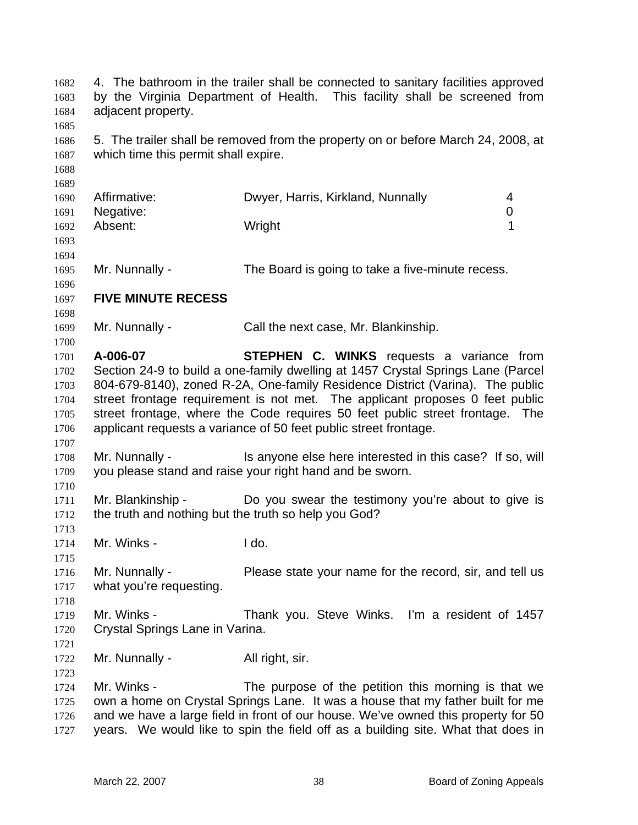| 1682<br>1683<br>1684 | adjacent property.                   | 4. The bathroom in the trailer shall be connected to sanitary facilities approved<br>by the Virginia Department of Health. This facility shall be screened from |
|----------------------|--------------------------------------|-----------------------------------------------------------------------------------------------------------------------------------------------------------------|
| 1685<br>1686<br>1687 | which time this permit shall expire. | 5. The trailer shall be removed from the property on or before March 24, 2008, at                                                                               |
| 1688                 |                                      |                                                                                                                                                                 |
| 1689                 |                                      |                                                                                                                                                                 |
| 1690                 | Affirmative:                         | Dwyer, Harris, Kirkland, Nunnally<br>4                                                                                                                          |
| 1691                 | Negative:<br>Absent:                 | 0<br>1<br>Wright                                                                                                                                                |
| 1692<br>1693<br>1694 |                                      |                                                                                                                                                                 |
| 1695                 | Mr. Nunnally -                       | The Board is going to take a five-minute recess.                                                                                                                |
| 1696                 | <b>FIVE MINUTE RECESS</b>            |                                                                                                                                                                 |
| 1697<br>1698         |                                      |                                                                                                                                                                 |
| 1699                 | Mr. Nunnally -                       | Call the next case, Mr. Blankinship.                                                                                                                            |
| 1700                 |                                      |                                                                                                                                                                 |
| 1701                 | A-006-07                             | STEPHEN C. WINKS requests a variance from                                                                                                                       |
| 1702                 |                                      | Section 24-9 to build a one-family dwelling at 1457 Crystal Springs Lane (Parcel                                                                                |
| 1703                 |                                      | 804-679-8140), zoned R-2A, One-family Residence District (Varina). The public                                                                                   |
| 1704                 |                                      | street frontage requirement is not met. The applicant proposes 0 feet public                                                                                    |
| 1705                 |                                      | street frontage, where the Code requires 50 feet public street frontage. The                                                                                    |
| 1706                 |                                      | applicant requests a variance of 50 feet public street frontage.                                                                                                |
| 1707                 |                                      |                                                                                                                                                                 |
| 1708                 | Mr. Nunnally -                       | Is anyone else here interested in this case? If so, will                                                                                                        |
| 1709                 |                                      | you please stand and raise your right hand and be sworn.                                                                                                        |
| 1710                 |                                      |                                                                                                                                                                 |
| 1711                 | Mr. Blankinship -                    | Do you swear the testimony you're about to give is                                                                                                              |
| 1712                 |                                      | the truth and nothing but the truth so help you God?                                                                                                            |
| 1713                 |                                      |                                                                                                                                                                 |
| 1714                 | Mr. Winks -                          | I do.                                                                                                                                                           |
| 1715                 |                                      |                                                                                                                                                                 |
| 1716                 | Mr. Nunnally -                       | Please state your name for the record, sir, and tell us                                                                                                         |
| 1717                 | what you're requesting.              |                                                                                                                                                                 |
| 1718                 |                                      |                                                                                                                                                                 |
| 1719                 | Mr. Winks -                          | Thank you. Steve Winks. I'm a resident of 1457                                                                                                                  |
| 1720                 | Crystal Springs Lane in Varina.      |                                                                                                                                                                 |
| 1721                 |                                      |                                                                                                                                                                 |
| 1722                 | Mr. Nunnally -                       | All right, sir.                                                                                                                                                 |
| 1723                 |                                      |                                                                                                                                                                 |
| 1724                 | Mr. Winks -                          | The purpose of the petition this morning is that we                                                                                                             |
| 1725                 |                                      | own a home on Crystal Springs Lane. It was a house that my father built for me                                                                                  |
| 1726                 |                                      | and we have a large field in front of our house. We've owned this property for 50                                                                               |
| 1727                 |                                      | years. We would like to spin the field off as a building site. What that does in                                                                                |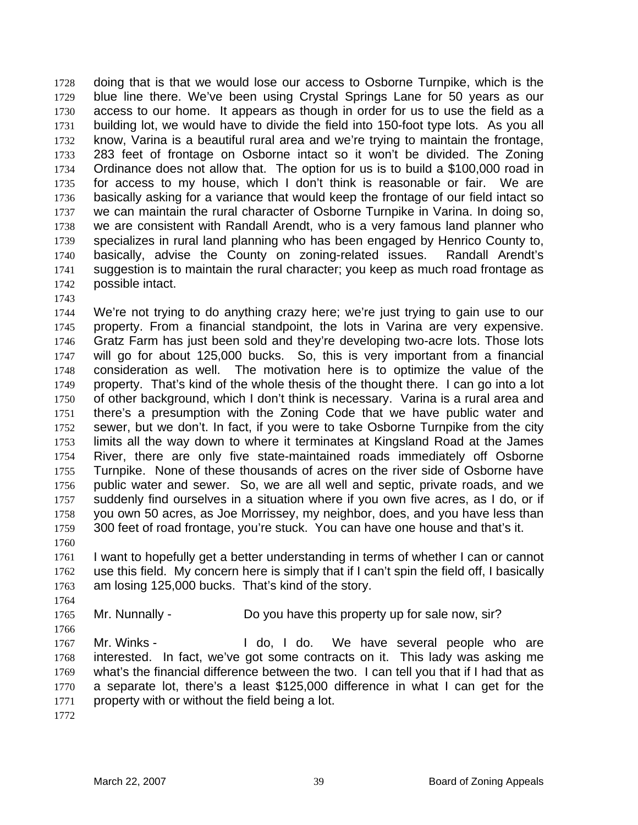doing that is that we would lose our access to Osborne Turnpike, which is the blue line there. We've been using Crystal Springs Lane for 50 years as our access to our home. It appears as though in order for us to use the field as a building lot, we would have to divide the field into 150-foot type lots. As you all know, Varina is a beautiful rural area and we're trying to maintain the frontage, 283 feet of frontage on Osborne intact so it won't be divided. The Zoning Ordinance does not allow that. The option for us is to build a \$100,000 road in for access to my house, which I don't think is reasonable or fair. We are basically asking for a variance that would keep the frontage of our field intact so we can maintain the rural character of Osborne Turnpike in Varina. In doing so, we are consistent with Randall Arendt, who is a very famous land planner who specializes in rural land planning who has been engaged by Henrico County to, basically, advise the County on zoning-related issues. Randall Arendt's suggestion is to maintain the rural character; you keep as much road frontage as possible intact. 1728 1729 1730 1731 1732 1733 1734 1735 1736 1737 1738 1739 1740 1741 1742

1743

1744 1745 1746 1747 1748 1749 1750 1751 1752 1753 1754 1755 1756 1757 1758 1759 We're not trying to do anything crazy here; we're just trying to gain use to our property. From a financial standpoint, the lots in Varina are very expensive. Gratz Farm has just been sold and they're developing two-acre lots. Those lots will go for about 125,000 bucks. So, this is very important from a financial consideration as well. The motivation here is to optimize the value of the property. That's kind of the whole thesis of the thought there. I can go into a lot of other background, which I don't think is necessary. Varina is a rural area and there's a presumption with the Zoning Code that we have public water and sewer, but we don't. In fact, if you were to take Osborne Turnpike from the city limits all the way down to where it terminates at Kingsland Road at the James River, there are only five state-maintained roads immediately off Osborne Turnpike. None of these thousands of acres on the river side of Osborne have public water and sewer. So, we are all well and septic, private roads, and we suddenly find ourselves in a situation where if you own five acres, as I do, or if you own 50 acres, as Joe Morrissey, my neighbor, does, and you have less than 300 feet of road frontage, you're stuck. You can have one house and that's it.

1761 1762 1763 I want to hopefully get a better understanding in terms of whether I can or cannot use this field. My concern here is simply that if I can't spin the field off, I basically am losing 125,000 bucks. That's kind of the story.

1765 Mr. Nunnally - Do you have this property up for sale now, sir?

1766 1767 1768 1769 1770 1771 Mr. Winks - The Moldo, I do. We have several people who are interested. In fact, we've got some contracts on it. This lady was asking me what's the financial difference between the two. I can tell you that if I had that as a separate lot, there's a least \$125,000 difference in what I can get for the property with or without the field being a lot.

1772

1760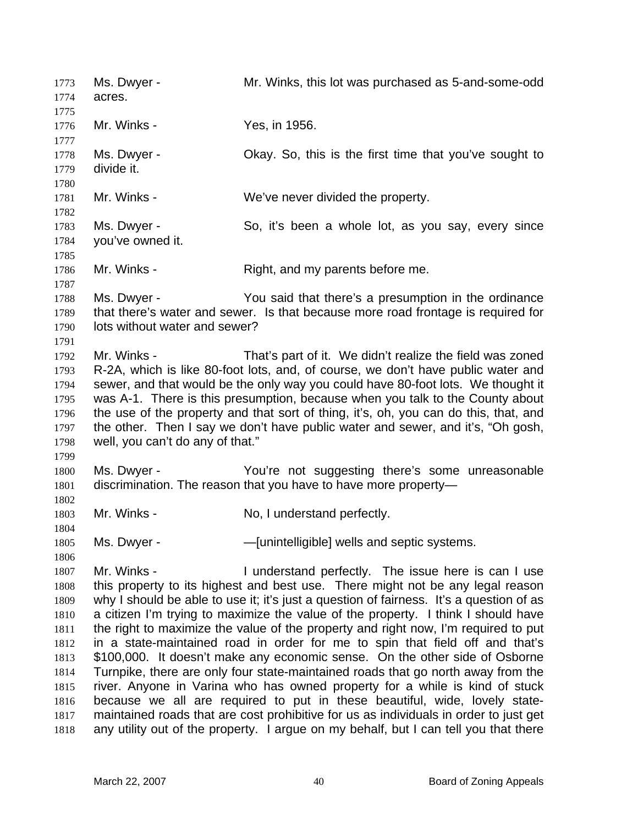Ms. Dwyer - Mr. Winks, this lot was purchased as 5-and-some-odd acres. 1773 1774 1775 1776 1777 1778 1779 1780 1781 1782 1783 1784 1785 1786 1787 1788 1789 1790 1791 1792 1793 1794 1795 1796 1797 1798 1799 1800 1801 1802 1803 1804 1805 1806 1807 1808 1809 1810 1811 1812 1813 1814 1815 1816 1817 1818 Mr. Winks - Yes, in 1956. Ms. Dwyer - Ckay. So, this is the first time that you've sought to divide it. Mr. Winks - We've never divided the property. Ms. Dwyer - So, it's been a whole lot, as you say, every since you've owned it. Mr. Winks - Right, and my parents before me. Ms. Dwyer - The You said that there's a presumption in the ordinance that there's water and sewer. Is that because more road frontage is required for lots without water and sewer? Mr. Winks - That's part of it. We didn't realize the field was zoned R-2A, which is like 80-foot lots, and, of course, we don't have public water and sewer, and that would be the only way you could have 80-foot lots. We thought it was A-1. There is this presumption, because when you talk to the County about the use of the property and that sort of thing, it's, oh, you can do this, that, and the other. Then I say we don't have public water and sewer, and it's, "Oh gosh, well, you can't do any of that." Ms. Dwyer - The You're not suggesting there's some unreasonable discrimination. The reason that you have to have more property— Mr. Winks - No, I understand perfectly. Ms. Dwyer - The Munimipulary - — — — [unintelligible] wells and septic systems. Mr. Winks - The Understand perfectly. The issue here is can I use this property to its highest and best use. There might not be any legal reason why I should be able to use it; it's just a question of fairness. It's a question of as a citizen I'm trying to maximize the value of the property. I think I should have the right to maximize the value of the property and right now, I'm required to put in a state-maintained road in order for me to spin that field off and that's \$100,000. It doesn't make any economic sense. On the other side of Osborne Turnpike, there are only four state-maintained roads that go north away from the river. Anyone in Varina who has owned property for a while is kind of stuck because we all are required to put in these beautiful, wide, lovely statemaintained roads that are cost prohibitive for us as individuals in order to just get any utility out of the property. I argue on my behalf, but I can tell you that there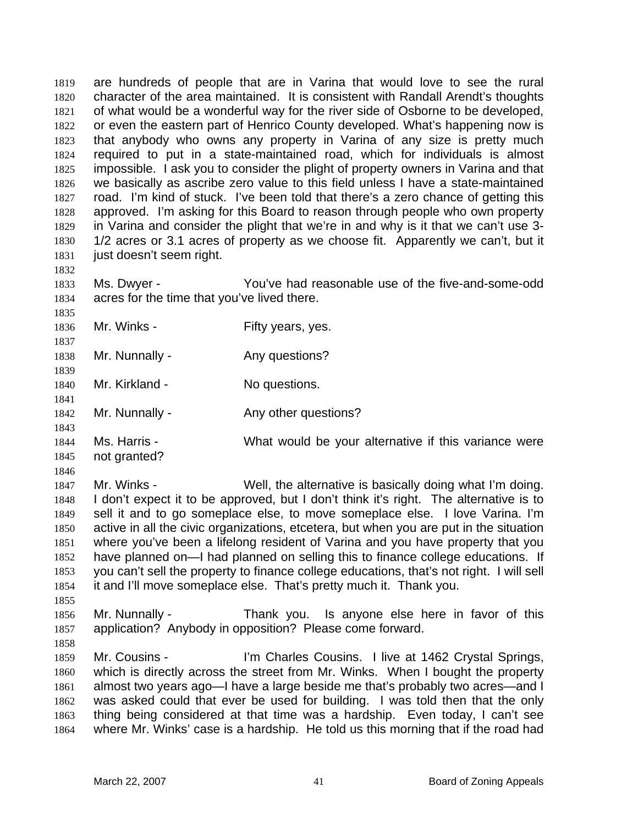are hundreds of people that are in Varina that would love to see the rural character of the area maintained. It is consistent with Randall Arendt's thoughts of what would be a wonderful way for the river side of Osborne to be developed, or even the eastern part of Henrico County developed. What's happening now is that anybody who owns any property in Varina of any size is pretty much required to put in a state-maintained road, which for individuals is almost impossible. I ask you to consider the plight of property owners in Varina and that we basically as ascribe zero value to this field unless I have a state-maintained road. I'm kind of stuck. I've been told that there's a zero chance of getting this approved. I'm asking for this Board to reason through people who own property in Varina and consider the plight that we're in and why is it that we can't use 3- 1/2 acres or 3.1 acres of property as we choose fit. Apparently we can't, but it just doesn't seem right. 1819 1820 1821 1822 1823 1824 1825 1826 1827 1828 1829 1830 1831 1832

1833 1834 Ms. Dwyer - You've had reasonable use of the five-and-some-odd acres for the time that you've lived there.

1836 Mr. Winks - The Pifty years, yes.

1838 Mr. Nunnally - Any questions?

1840 Mr. Kirkland - No questions.

1842 Mr. Nunnally - Any other questions?

1844 1845 Ms. Harris - What would be your alternative if this variance were not granted?

1846

1835

1837

1839

1841

1843

1847 1848 1849 1850 1851 1852 1853 1854 1855 Mr. Winks - Well, the alternative is basically doing what I'm doing. I don't expect it to be approved, but I don't think it's right. The alternative is to sell it and to go someplace else, to move someplace else. I love Varina. I'm active in all the civic organizations, etcetera, but when you are put in the situation where you've been a lifelong resident of Varina and you have property that you have planned on—I had planned on selling this to finance college educations. If you can't sell the property to finance college educations, that's not right. I will sell it and I'll move someplace else. That's pretty much it. Thank you.

1856 1857 Mr. Nunnally - Thank you. Is anyone else here in favor of this application? Anybody in opposition? Please come forward.

1858

1859 1860 1861 1862 1863 1864 Mr. Cousins - I'm Charles Cousins. I live at 1462 Crystal Springs, which is directly across the street from Mr. Winks. When I bought the property almost two years ago—I have a large beside me that's probably two acres—and I was asked could that ever be used for building. I was told then that the only thing being considered at that time was a hardship. Even today, I can't see where Mr. Winks' case is a hardship. He told us this morning that if the road had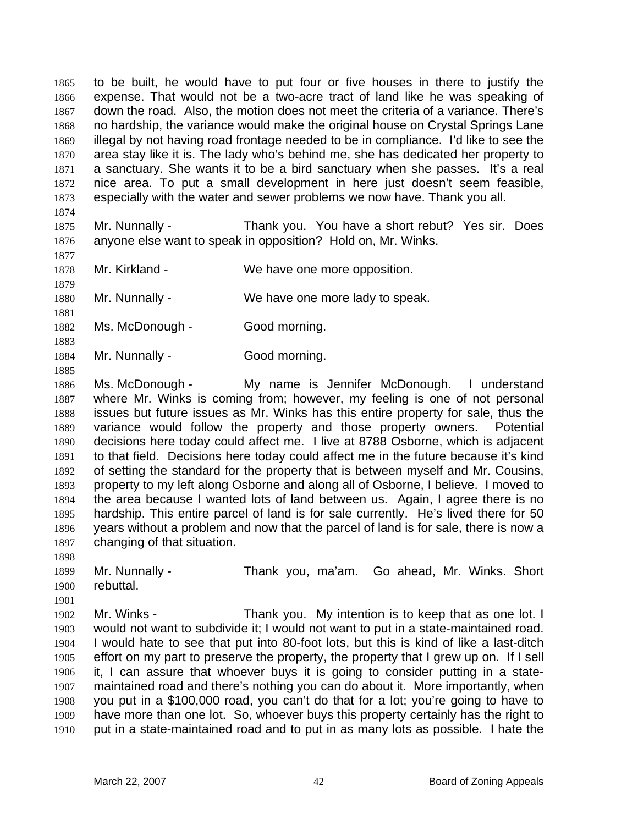to be built, he would have to put four or five houses in there to justify the expense. That would not be a two-acre tract of land like he was speaking of down the road. Also, the motion does not meet the criteria of a variance. There's no hardship, the variance would make the original house on Crystal Springs Lane illegal by not having road frontage needed to be in compliance. I'd like to see the area stay like it is. The lady who's behind me, she has dedicated her property to a sanctuary. She wants it to be a bird sanctuary when she passes. It's a real nice area. To put a small development in here just doesn't seem feasible, especially with the water and sewer problems we now have. Thank you all. 1865 1866 1867 1868 1869 1870 1871 1872 1873

1874

1875 1876 Mr. Nunnally - Thank you. You have a short rebut? Yes sir. Does anyone else want to speak in opposition? Hold on, Mr. Winks.

1877 1878

1879

1881

1883

1885

1898

1901

Mr. Kirkland - We have one more opposition.

1880 Mr. Nunnally - We have one more lady to speak.

1882 Ms. McDonough - Good morning.

1884 Mr. Nunnally - Good morning.

1886 1887 1888 1889 1890 1891 1892 1893 1894 1895 1896 1897 Ms. McDonough - My name is Jennifer McDonough. I understand where Mr. Winks is coming from; however, my feeling is one of not personal issues but future issues as Mr. Winks has this entire property for sale, thus the variance would follow the property and those property owners. Potential decisions here today could affect me. I live at 8788 Osborne, which is adjacent to that field. Decisions here today could affect me in the future because it's kind of setting the standard for the property that is between myself and Mr. Cousins, property to my left along Osborne and along all of Osborne, I believe. I moved to the area because I wanted lots of land between us. Again, I agree there is no hardship. This entire parcel of land is for sale currently. He's lived there for 50 years without a problem and now that the parcel of land is for sale, there is now a changing of that situation.

1899 1900 Mr. Nunnally - Thank you, ma'am. Go ahead, Mr. Winks. Short rebuttal.

1902 1903 1904 1905 1906 1907 1908 1909 1910 Mr. Winks - Thank you. My intention is to keep that as one lot. I would not want to subdivide it; I would not want to put in a state-maintained road. I would hate to see that put into 80-foot lots, but this is kind of like a last-ditch effort on my part to preserve the property, the property that I grew up on. If I sell it, I can assure that whoever buys it is going to consider putting in a statemaintained road and there's nothing you can do about it. More importantly, when you put in a \$100,000 road, you can't do that for a lot; you're going to have to have more than one lot. So, whoever buys this property certainly has the right to put in a state-maintained road and to put in as many lots as possible. I hate the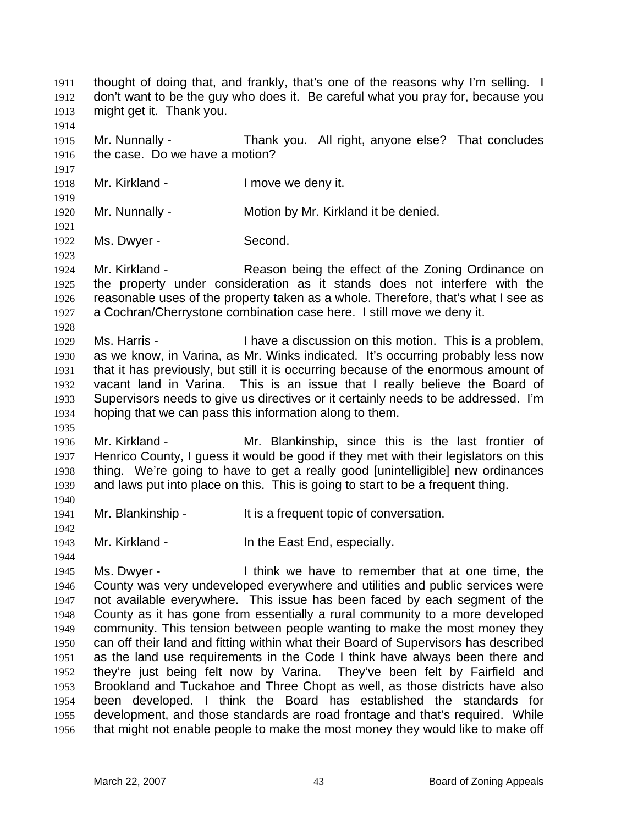thought of doing that, and frankly, that's one of the reasons why I'm selling. I don't want to be the guy who does it. Be careful what you pray for, because you might get it. Thank you. 1911 1912 1913 1914 1915 1916 1917 1918 1919 1920 1921 1922 1923 1924 1925 1926 1927 1928 1929 1930 1931 1932 1933 1934 1935 1936 1937 1938 1939 1940 1941 1942 1943 1944 1945 1946 1947 1948 1949 1950 1951 1952 1953 1954 1955 1956 Mr. Nunnally - Thank you. All right, anyone else? That concludes the case. Do we have a motion? Mr. Kirkland - The University of the Imove we deny it. Mr. Nunnally - **Motion by Mr. Kirkland it be denied.** Ms. Dwyer - Second. Mr. Kirkland - Reason being the effect of the Zoning Ordinance on the property under consideration as it stands does not interfere with the reasonable uses of the property taken as a whole. Therefore, that's what I see as a Cochran/Cherrystone combination case here. I still move we deny it. Ms. Harris - Thave a discussion on this motion. This is a problem, as we know, in Varina, as Mr. Winks indicated. It's occurring probably less now that it has previously, but still it is occurring because of the enormous amount of vacant land in Varina. This is an issue that I really believe the Board of Supervisors needs to give us directives or it certainly needs to be addressed. I'm hoping that we can pass this information along to them. Mr. Kirkland - Mr. Blankinship, since this is the last frontier of Henrico County, I guess it would be good if they met with their legislators on this thing. We're going to have to get a really good [unintelligible] new ordinances and laws put into place on this. This is going to start to be a frequent thing. Mr. Blankinship - It is a frequent topic of conversation. Mr. Kirkland - The East End, especially. Ms. Dwyer - I think we have to remember that at one time, the County was very undeveloped everywhere and utilities and public services were not available everywhere. This issue has been faced by each segment of the County as it has gone from essentially a rural community to a more developed community. This tension between people wanting to make the most money they can off their land and fitting within what their Board of Supervisors has described as the land use requirements in the Code I think have always been there and they're just being felt now by Varina. They've been felt by Fairfield and Brookland and Tuckahoe and Three Chopt as well, as those districts have also been developed. I think the Board has established the standards for development, and those standards are road frontage and that's required. While that might not enable people to make the most money they would like to make off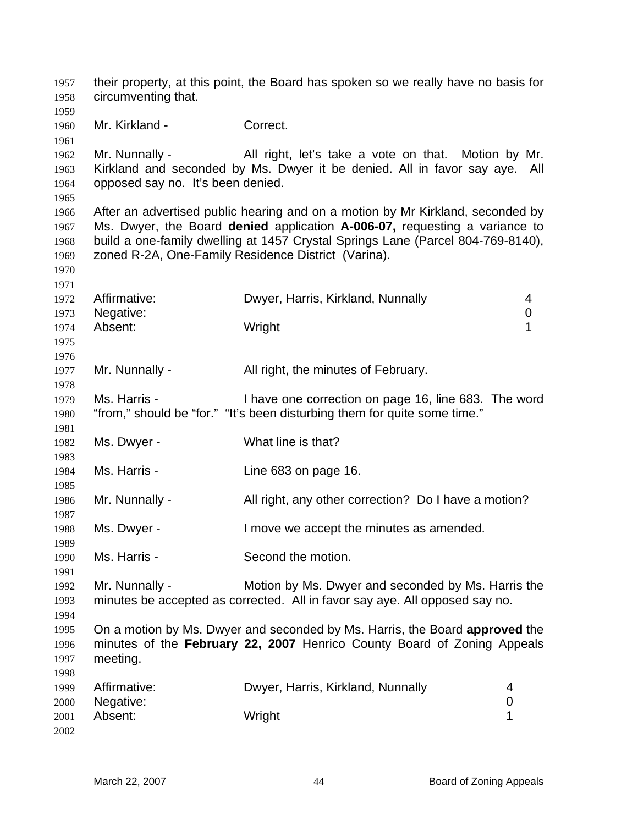their property, at this point, the Board has spoken so we really have no basis for circumventing that. Mr. Kirkland - Correct. Mr. Nunnally - All right, let's take a vote on that. Motion by Mr. Kirkland and seconded by Ms. Dwyer it be denied. All in favor say aye. All opposed say no. It's been denied. After an advertised public hearing and on a motion by Mr Kirkland, seconded by Ms. Dwyer, the Board **denied** application **A-006-07,** requesting a variance to build a one-family dwelling at 1457 Crystal Springs Lane (Parcel 804-769-8140), zoned R-2A, One-Family Residence District (Varina). Affirmative: Dwyer, Harris, Kirkland, Nunnally 4 Negative: 0 Absent: Wright 1 Mr. Nunnally - All right, the minutes of February. Ms. Harris - I have one correction on page 16, line 683. The word "from," should be "for." "It's been disturbing them for quite some time." Ms. Dwyer - What line is that? Ms. Harris - Line 683 on page 16. Mr. Nunnally - All right, any other correction? Do I have a motion? Ms. Dwyer - I move we accept the minutes as amended. Ms. Harris - Second the motion. Mr. Nunnally - Motion by Ms. Dwyer and seconded by Ms. Harris the minutes be accepted as corrected. All in favor say aye. All opposed say no. On a motion by Ms. Dwyer and seconded by Ms. Harris, the Board **approved** the minutes of the **February 22, 2007** Henrico County Board of Zoning Appeals meeting. Affirmative: Dwyer, Harris, Kirkland, Nunnally 4 Negative: 0 Absent: 1